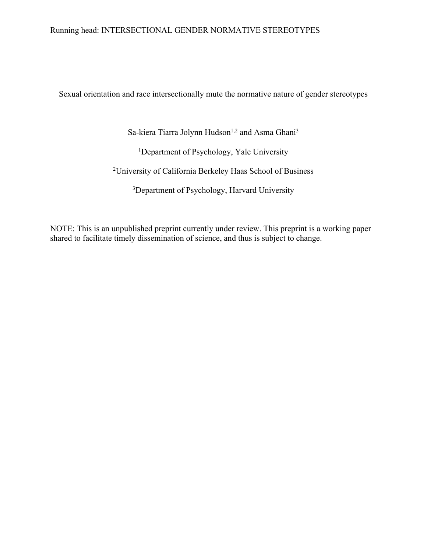Sexual orientation and race intersectionally mute the normative nature of gender stereotypes

Sa-kiera Tiarra Jolynn Hudson<sup>1,2</sup> and Asma Ghani<sup>3</sup>

<sup>1</sup>Department of Psychology, Yale University

2 University of California Berkeley Haas School of Business

<sup>3</sup>Department of Psychology, Harvard University

NOTE: This is an unpublished preprint currently under review. This preprint is a working paper shared to facilitate timely dissemination of science, and thus is subject to change.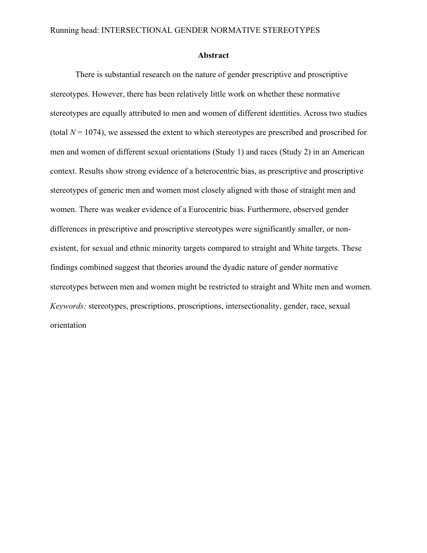#### **Abstract**

There is substantial research on the nature of gender prescriptive and proscriptive stereotypes. However, there has been relatively little work on whether these normative stereotypes are equally attributed to men and women of different identities. Across two studies (total  $N = 1074$ ), we assessed the extent to which stereotypes are prescribed and proscribed for men and women of different sexual orientations (Study 1) and races (Study 2) in an American context. Results show strong evidence of a heterocentric bias, as prescriptive and proscriptive stereotypes of generic men and women most closely aligned with those of straight men and women. There was weaker evidence of a Eurocentric bias. Furthermore, observed gender differences in prescriptive and proscriptive stereotypes were significantly smaller, or nonexistent, for sexual and ethnic minority targets compared to straight and White targets. These findings combined suggest that theories around the dyadic nature of gender normative stereotypes between men and women might be restricted to straight and White men and women. *Keywords:* stereotypes, prescriptions, proscriptions, intersectionality, gender, race, sexual orientation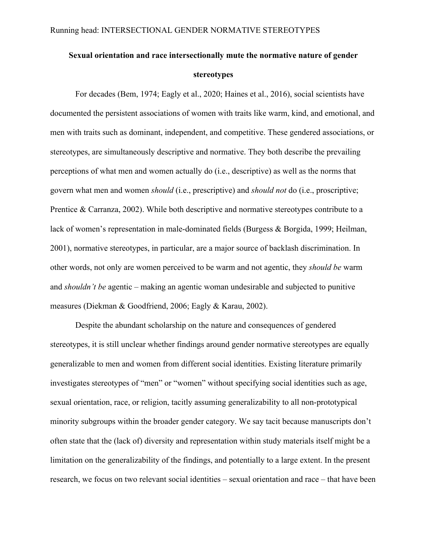# **Sexual orientation and race intersectionally mute the normative nature of gender stereotypes**

For decades (Bem, 1974; Eagly et al., 2020; Haines et al., 2016), social scientists have documented the persistent associations of women with traits like warm, kind, and emotional, and men with traits such as dominant, independent, and competitive. These gendered associations, or stereotypes, are simultaneously descriptive and normative. They both describe the prevailing perceptions of what men and women actually do (i.e., descriptive) as well as the norms that govern what men and women *should* (i.e., prescriptive) and *should not* do (i.e., proscriptive; Prentice & Carranza, 2002). While both descriptive and normative stereotypes contribute to a lack of women's representation in male-dominated fields (Burgess & Borgida, 1999; Heilman, 2001), normative stereotypes, in particular, are a major source of backlash discrimination. In other words, not only are women perceived to be warm and not agentic, they *should be* warm and *shouldn't be* agentic – making an agentic woman undesirable and subjected to punitive measures (Diekman & Goodfriend, 2006; Eagly & Karau, 2002).

Despite the abundant scholarship on the nature and consequences of gendered stereotypes, it is still unclear whether findings around gender normative stereotypes are equally generalizable to men and women from different social identities. Existing literature primarily investigates stereotypes of "men" or "women" without specifying social identities such as age, sexual orientation, race, or religion, tacitly assuming generalizability to all non-prototypical minority subgroups within the broader gender category. We say tacit because manuscripts don't often state that the (lack of) diversity and representation within study materials itself might be a limitation on the generalizability of the findings, and potentially to a large extent. In the present research, we focus on two relevant social identities – sexual orientation and race – that have been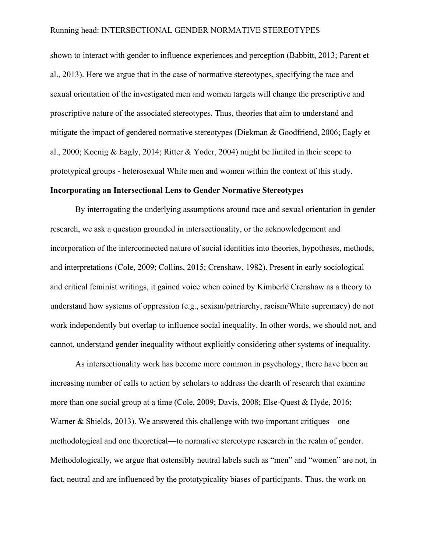shown to interact with gender to influence experiences and perception (Babbitt, 2013; Parent et al., 2013). Here we argue that in the case of normative stereotypes, specifying the race and sexual orientation of the investigated men and women targets will change the prescriptive and proscriptive nature of the associated stereotypes. Thus, theories that aim to understand and mitigate the impact of gendered normative stereotypes (Diekman & Goodfriend, 2006; Eagly et al., 2000; Koenig & Eagly, 2014; Ritter & Yoder, 2004) might be limited in their scope to prototypical groups - heterosexual White men and women within the context of this study.

### **Incorporating an Intersectional Lens to Gender Normative Stereotypes**

By interrogating the underlying assumptions around race and sexual orientation in gender research, we ask a question grounded in intersectionality, or the acknowledgement and incorporation of the interconnected nature of social identities into theories, hypotheses, methods, and interpretations (Cole, 2009; Collins, 2015; Crenshaw, 1982). Present in early sociological and critical feminist writings, it gained voice when coined by Kimberlé Crenshaw as a theory to understand how systems of oppression (e.g., sexism/patriarchy, racism/White supremacy) do not work independently but overlap to influence social inequality. In other words, we should not, and cannot, understand gender inequality without explicitly considering other systems of inequality.

As intersectionality work has become more common in psychology, there have been an increasing number of calls to action by scholars to address the dearth of research that examine more than one social group at a time (Cole, 2009; Davis, 2008; Else-Quest & Hyde, 2016; Warner & Shields, 2013). We answered this challenge with two important critiques—one methodological and one theoretical—to normative stereotype research in the realm of gender. Methodologically, we argue that ostensibly neutral labels such as "men" and "women" are not, in fact, neutral and are influenced by the prototypicality biases of participants. Thus, the work on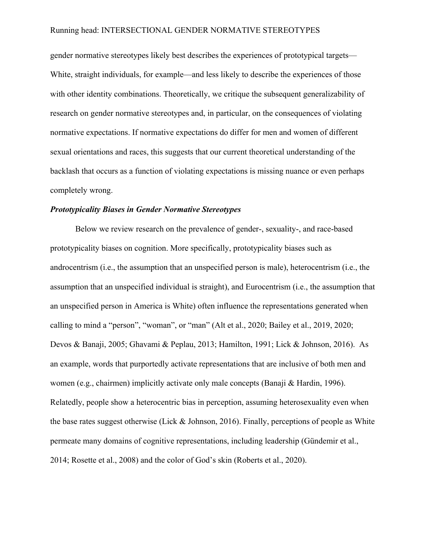gender normative stereotypes likely best describes the experiences of prototypical targets— White, straight individuals, for example—and less likely to describe the experiences of those with other identity combinations. Theoretically, we critique the subsequent generalizability of research on gender normative stereotypes and, in particular, on the consequences of violating normative expectations. If normative expectations do differ for men and women of different sexual orientations and races, this suggests that our current theoretical understanding of the backlash that occurs as a function of violating expectations is missing nuance or even perhaps completely wrong.

#### *Prototypicality Biases in Gender Normative Stereotypes*

Below we review research on the prevalence of gender-, sexuality-, and race-based prototypicality biases on cognition. More specifically, prototypicality biases such as androcentrism (i.e., the assumption that an unspecified person is male), heterocentrism (i.e., the assumption that an unspecified individual is straight), and Eurocentrism (i.e., the assumption that an unspecified person in America is White) often influence the representations generated when calling to mind a "person", "woman", or "man" (Alt et al., 2020; Bailey et al., 2019, 2020; Devos & Banaji, 2005; Ghavami & Peplau, 2013; Hamilton, 1991; Lick & Johnson, 2016). As an example, words that purportedly activate representations that are inclusive of both men and women (e.g., chairmen) implicitly activate only male concepts (Banaji & Hardin, 1996). Relatedly, people show a heterocentric bias in perception, assuming heterosexuality even when the base rates suggest otherwise (Lick & Johnson, 2016). Finally, perceptions of people as White permeate many domains of cognitive representations, including leadership (Gündemir et al., 2014; Rosette et al., 2008) and the color of God's skin (Roberts et al., 2020).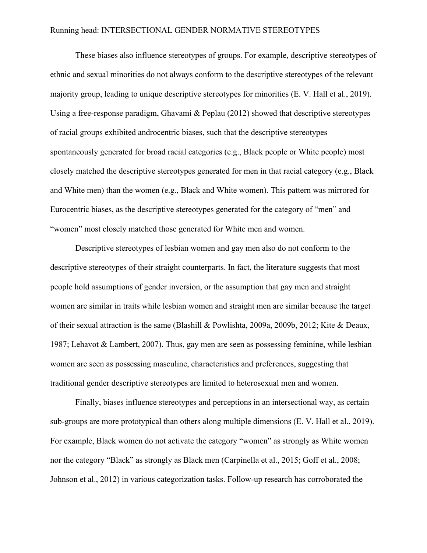These biases also influence stereotypes of groups. For example, descriptive stereotypes of ethnic and sexual minorities do not always conform to the descriptive stereotypes of the relevant majority group, leading to unique descriptive stereotypes for minorities (E. V. Hall et al., 2019). Using a free-response paradigm, Ghavami & Peplau (2012) showed that descriptive stereotypes of racial groups exhibited androcentric biases, such that the descriptive stereotypes spontaneously generated for broad racial categories (e.g., Black people or White people) most closely matched the descriptive stereotypes generated for men in that racial category (e.g., Black and White men) than the women (e.g., Black and White women). This pattern was mirrored for Eurocentric biases, as the descriptive stereotypes generated for the category of "men" and "women" most closely matched those generated for White men and women.

Descriptive stereotypes of lesbian women and gay men also do not conform to the descriptive stereotypes of their straight counterparts. In fact, the literature suggests that most people hold assumptions of gender inversion, or the assumption that gay men and straight women are similar in traits while lesbian women and straight men are similar because the target of their sexual attraction is the same (Blashill & Powlishta, 2009a, 2009b, 2012; Kite & Deaux, 1987; Lehavot & Lambert, 2007). Thus, gay men are seen as possessing feminine, while lesbian women are seen as possessing masculine, characteristics and preferences, suggesting that traditional gender descriptive stereotypes are limited to heterosexual men and women.

Finally, biases influence stereotypes and perceptions in an intersectional way, as certain sub-groups are more prototypical than others along multiple dimensions (E. V. Hall et al., 2019). For example, Black women do not activate the category "women" as strongly as White women nor the category "Black" as strongly as Black men (Carpinella et al., 2015; Goff et al., 2008; Johnson et al., 2012) in various categorization tasks. Follow-up research has corroborated the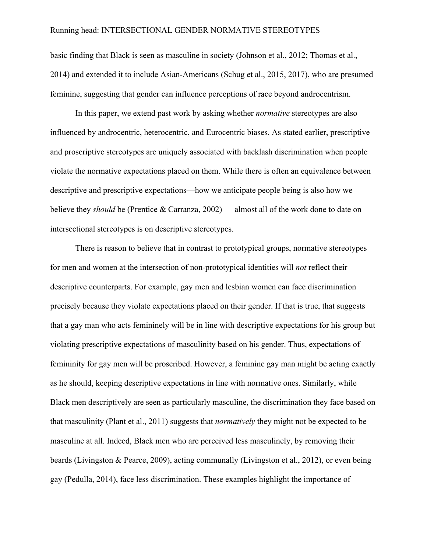basic finding that Black is seen as masculine in society (Johnson et al., 2012; Thomas et al., 2014) and extended it to include Asian-Americans (Schug et al., 2015, 2017), who are presumed feminine, suggesting that gender can influence perceptions of race beyond androcentrism.

In this paper, we extend past work by asking whether *normative* stereotypes are also influenced by androcentric, heterocentric, and Eurocentric biases. As stated earlier, prescriptive and proscriptive stereotypes are uniquely associated with backlash discrimination when people violate the normative expectations placed on them. While there is often an equivalence between descriptive and prescriptive expectations—how we anticipate people being is also how we believe they *should* be (Prentice & Carranza, 2002) — almost all of the work done to date on intersectional stereotypes is on descriptive stereotypes.

There is reason to believe that in contrast to prototypical groups, normative stereotypes for men and women at the intersection of non-prototypical identities will *not* reflect their descriptive counterparts. For example, gay men and lesbian women can face discrimination precisely because they violate expectations placed on their gender. If that is true, that suggests that a gay man who acts femininely will be in line with descriptive expectations for his group but violating prescriptive expectations of masculinity based on his gender. Thus, expectations of femininity for gay men will be proscribed. However, a feminine gay man might be acting exactly as he should, keeping descriptive expectations in line with normative ones. Similarly, while Black men descriptively are seen as particularly masculine, the discrimination they face based on that masculinity (Plant et al., 2011) suggests that *normatively* they might not be expected to be masculine at all. Indeed, Black men who are perceived less masculinely, by removing their beards (Livingston & Pearce, 2009), acting communally (Livingston et al., 2012), or even being gay (Pedulla, 2014), face less discrimination. These examples highlight the importance of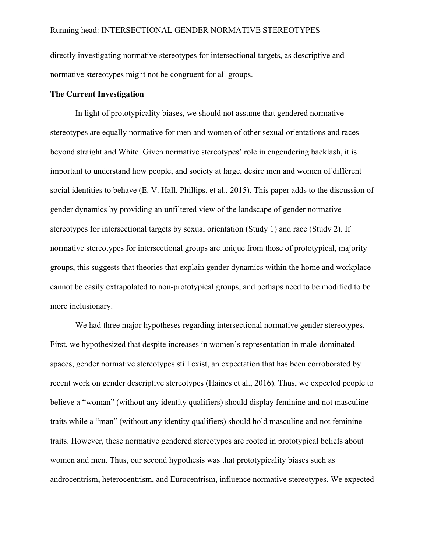directly investigating normative stereotypes for intersectional targets, as descriptive and normative stereotypes might not be congruent for all groups.

#### **The Current Investigation**

In light of prototypicality biases, we should not assume that gendered normative stereotypes are equally normative for men and women of other sexual orientations and races beyond straight and White. Given normative stereotypes' role in engendering backlash, it is important to understand how people, and society at large, desire men and women of different social identities to behave (E. V. Hall, Phillips, et al., 2015). This paper adds to the discussion of gender dynamics by providing an unfiltered view of the landscape of gender normative stereotypes for intersectional targets by sexual orientation (Study 1) and race (Study 2). If normative stereotypes for intersectional groups are unique from those of prototypical, majority groups, this suggests that theories that explain gender dynamics within the home and workplace cannot be easily extrapolated to non-prototypical groups, and perhaps need to be modified to be more inclusionary.

We had three major hypotheses regarding intersectional normative gender stereotypes. First, we hypothesized that despite increases in women's representation in male-dominated spaces, gender normative stereotypes still exist, an expectation that has been corroborated by recent work on gender descriptive stereotypes (Haines et al., 2016). Thus, we expected people to believe a "woman" (without any identity qualifiers) should display feminine and not masculine traits while a "man" (without any identity qualifiers) should hold masculine and not feminine traits. However, these normative gendered stereotypes are rooted in prototypical beliefs about women and men. Thus, our second hypothesis was that prototypicality biases such as androcentrism, heterocentrism, and Eurocentrism, influence normative stereotypes. We expected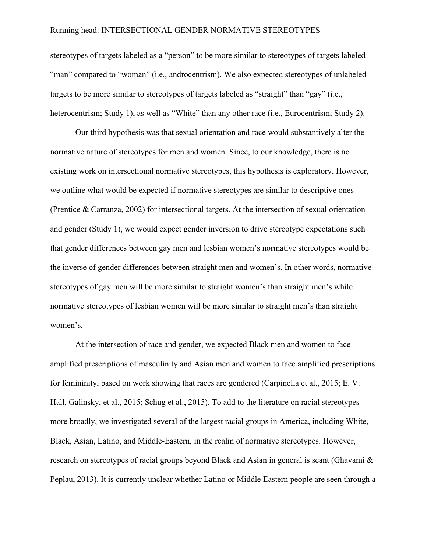stereotypes of targets labeled as a "person" to be more similar to stereotypes of targets labeled "man" compared to "woman" (i.e., androcentrism). We also expected stereotypes of unlabeled targets to be more similar to stereotypes of targets labeled as "straight" than "gay" (i.e., heterocentrism; Study 1), as well as "White" than any other race (i.e., Eurocentrism; Study 2).

Our third hypothesis was that sexual orientation and race would substantively alter the normative nature of stereotypes for men and women. Since, to our knowledge, there is no existing work on intersectional normative stereotypes, this hypothesis is exploratory. However, we outline what would be expected if normative stereotypes are similar to descriptive ones (Prentice & Carranza, 2002) for intersectional targets. At the intersection of sexual orientation and gender (Study 1), we would expect gender inversion to drive stereotype expectations such that gender differences between gay men and lesbian women's normative stereotypes would be the inverse of gender differences between straight men and women's. In other words, normative stereotypes of gay men will be more similar to straight women's than straight men's while normative stereotypes of lesbian women will be more similar to straight men's than straight women's*.* 

At the intersection of race and gender, we expected Black men and women to face amplified prescriptions of masculinity and Asian men and women to face amplified prescriptions for femininity, based on work showing that races are gendered (Carpinella et al., 2015; E. V. Hall, Galinsky, et al., 2015; Schug et al., 2015). To add to the literature on racial stereotypes more broadly, we investigated several of the largest racial groups in America, including White, Black, Asian, Latino, and Middle-Eastern, in the realm of normative stereotypes. However, research on stereotypes of racial groups beyond Black and Asian in general is scant (Ghavami  $\&$ Peplau, 2013). It is currently unclear whether Latino or Middle Eastern people are seen through a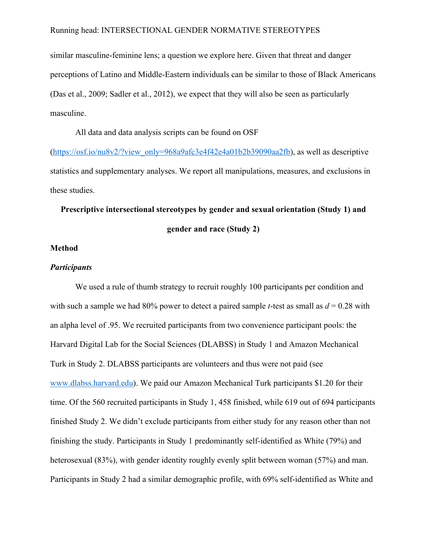similar masculine-feminine lens; a question we explore here. Given that threat and danger perceptions of Latino and Middle-Eastern individuals can be similar to those of Black Americans (Das et al., 2009; Sadler et al., 2012), we expect that they will also be seen as particularly masculine.

All data and data analysis scripts can be found on OSF

(https://osf.io/nu8v2/?view\_only=968a9afc3e4f42e4a01b2b39090aa2fb), as well as descriptive statistics and supplementary analyses. We report all manipulations, measures, and exclusions in these studies.

# **Prescriptive intersectional stereotypes by gender and sexual orientation (Study 1) and gender and race (Study 2)**

#### **Method**

#### *Participants*

We used a rule of thumb strategy to recruit roughly 100 participants per condition and with such a sample we had 80% power to detect a paired sample *t*-test as small as  $d = 0.28$  with an alpha level of .95. We recruited participants from two convenience participant pools: the Harvard Digital Lab for the Social Sciences (DLABSS) in Study 1 and Amazon Mechanical Turk in Study 2. DLABSS participants are volunteers and thus were not paid (see www.dlabss.harvard.edu). We paid our Amazon Mechanical Turk participants \$1.20 for their time. Of the 560 recruited participants in Study 1, 458 finished, while 619 out of 694 participants finished Study 2. We didn't exclude participants from either study for any reason other than not finishing the study. Participants in Study 1 predominantly self-identified as White (79%) and heterosexual (83%), with gender identity roughly evenly split between woman (57%) and man. Participants in Study 2 had a similar demographic profile, with 69% self-identified as White and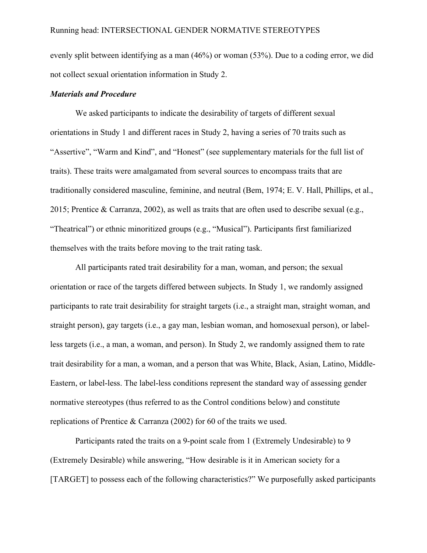evenly split between identifying as a man (46%) or woman (53%). Due to a coding error, we did not collect sexual orientation information in Study 2.

#### *Materials and Procedure*

We asked participants to indicate the desirability of targets of different sexual orientations in Study 1 and different races in Study 2, having a series of 70 traits such as "Assertive", "Warm and Kind", and "Honest" (see supplementary materials for the full list of traits). These traits were amalgamated from several sources to encompass traits that are traditionally considered masculine, feminine, and neutral (Bem, 1974; E. V. Hall, Phillips, et al., 2015; Prentice & Carranza, 2002), as well as traits that are often used to describe sexual (e.g., "Theatrical") or ethnic minoritized groups (e.g., "Musical"). Participants first familiarized themselves with the traits before moving to the trait rating task.

All participants rated trait desirability for a man, woman, and person; the sexual orientation or race of the targets differed between subjects. In Study 1, we randomly assigned participants to rate trait desirability for straight targets (i.e., a straight man, straight woman, and straight person), gay targets (i.e., a gay man, lesbian woman, and homosexual person), or labelless targets (i.e., a man, a woman, and person). In Study 2, we randomly assigned them to rate trait desirability for a man, a woman, and a person that was White, Black, Asian, Latino, Middle-Eastern, or label-less. The label-less conditions represent the standard way of assessing gender normative stereotypes (thus referred to as the Control conditions below) and constitute replications of Prentice & Carranza (2002) for 60 of the traits we used.

Participants rated the traits on a 9-point scale from 1 (Extremely Undesirable) to 9 (Extremely Desirable) while answering, "How desirable is it in American society for a [TARGET] to possess each of the following characteristics?" We purposefully asked participants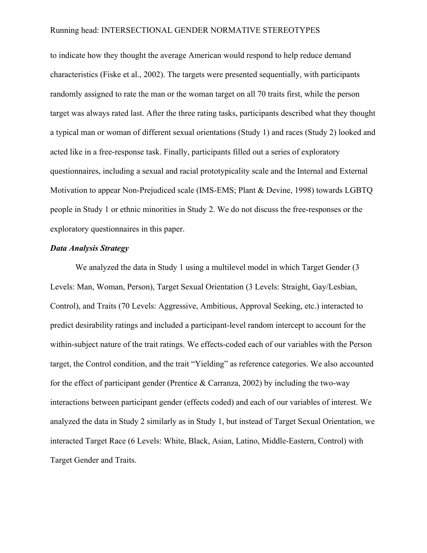to indicate how they thought the average American would respond to help reduce demand characteristics (Fiske et al., 2002). The targets were presented sequentially, with participants randomly assigned to rate the man or the woman target on all 70 traits first, while the person target was always rated last. After the three rating tasks, participants described what they thought a typical man or woman of different sexual orientations (Study 1) and races (Study 2) looked and acted like in a free-response task. Finally, participants filled out a series of exploratory questionnaires, including a sexual and racial prototypicality scale and the Internal and External Motivation to appear Non-Prejudiced scale (IMS-EMS; Plant & Devine, 1998) towards LGBTQ people in Study 1 or ethnic minorities in Study 2. We do not discuss the free-responses or the exploratory questionnaires in this paper.

#### *Data Analysis Strategy*

We analyzed the data in Study 1 using a multilevel model in which Target Gender (3 Levels: Man, Woman, Person), Target Sexual Orientation (3 Levels: Straight, Gay/Lesbian, Control), and Traits (70 Levels: Aggressive, Ambitious, Approval Seeking, etc.) interacted to predict desirability ratings and included a participant-level random intercept to account for the within-subject nature of the trait ratings. We effects-coded each of our variables with the Person target, the Control condition, and the trait "Yielding" as reference categories. We also accounted for the effect of participant gender (Prentice & Carranza, 2002) by including the two-way interactions between participant gender (effects coded) and each of our variables of interest. We analyzed the data in Study 2 similarly as in Study 1, but instead of Target Sexual Orientation, we interacted Target Race (6 Levels: White, Black, Asian, Latino, Middle-Eastern, Control) with Target Gender and Traits.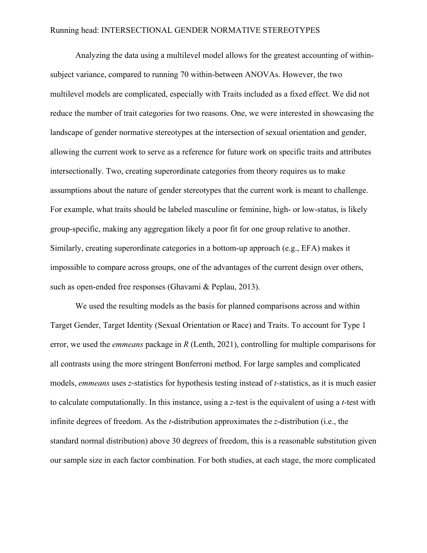Analyzing the data using a multilevel model allows for the greatest accounting of withinsubject variance, compared to running 70 within-between ANOVAs. However, the two multilevel models are complicated, especially with Traits included as a fixed effect. We did not reduce the number of trait categories for two reasons. One, we were interested in showcasing the landscape of gender normative stereotypes at the intersection of sexual orientation and gender, allowing the current work to serve as a reference for future work on specific traits and attributes intersectionally. Two, creating superordinate categories from theory requires us to make assumptions about the nature of gender stereotypes that the current work is meant to challenge. For example, what traits should be labeled masculine or feminine, high- or low-status, is likely group-specific, making any aggregation likely a poor fit for one group relative to another. Similarly, creating superordinate categories in a bottom-up approach (e.g., EFA) makes it impossible to compare across groups, one of the advantages of the current design over others, such as open-ended free responses (Ghavami & Peplau, 2013).

We used the resulting models as the basis for planned comparisons across and within Target Gender, Target Identity (Sexual Orientation or Race) and Traits. To account for Type 1 error, we used the *emmeans* package in *R* (Lenth, 2021), controlling for multiple comparisons for all contrasts using the more stringent Bonferroni method. For large samples and complicated models, *emmeans* uses *z*-statistics for hypothesis testing instead of *t-*statistics, as it is much easier to calculate computationally. In this instance, using a *z*-test is the equivalent of using a *t*-test with infinite degrees of freedom. As the *t*-distribution approximates the *z*-distribution (i.e., the standard normal distribution) above 30 degrees of freedom, this is a reasonable substitution given our sample size in each factor combination. For both studies, at each stage, the more complicated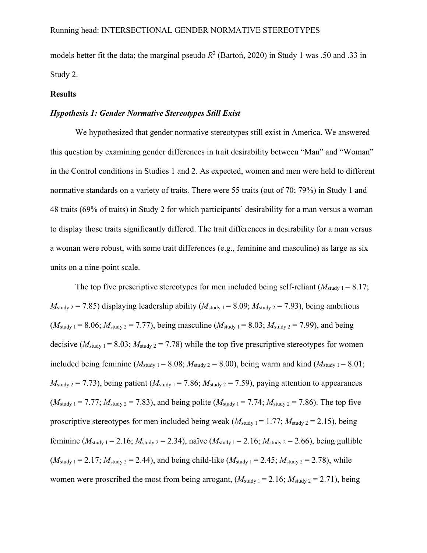models better fit the data; the marginal pseudo  $R^2$  (Barton, 2020) in Study 1 was .50 and .33 in Study 2.

#### **Results**

#### *Hypothesis 1: Gender Normative Stereotypes Still Exist*

We hypothesized that gender normative stereotypes still exist in America. We answered this question by examining gender differences in trait desirability between "Man" and "Woman" in the Control conditions in Studies 1 and 2. As expected, women and men were held to different normative standards on a variety of traits. There were 55 traits (out of 70; 79%) in Study 1 and 48 traits (69% of traits) in Study 2 for which participants' desirability for a man versus a woman to display those traits significantly differed. The trait differences in desirability for a man versus a woman were robust, with some trait differences (e.g., feminine and masculine) as large as six units on a nine-point scale.

The top five prescriptive stereotypes for men included being self-reliant  $(M_{\text{study 1}} = 8.17;$  $M_{\text{study 2}} = 7.85$ ) displaying leadership ability ( $M_{\text{study 1}} = 8.09$ ;  $M_{\text{study 2}} = 7.93$ ), being ambitious  $(M_{\text{study 1}} = 8.06; M_{\text{study 2}} = 7.77)$ , being masculine  $(M_{\text{study 1}} = 8.03; M_{\text{study 2}} = 7.99)$ , and being decisive  $(M_{\text{study 1}} = 8.03; M_{\text{study 2}} = 7.78)$  while the top five prescriptive stereotypes for women included being feminine ( $M_{study 1} = 8.08$ ;  $M_{study 2} = 8.00$ ), being warm and kind ( $M_{study 1} = 8.01$ ;  $M_{\text{study 2}} = 7.73$ ), being patient ( $M_{\text{study 1}} = 7.86$ ;  $M_{\text{study 2}} = 7.59$ ), paying attention to appearances  $(M_{\text{study 1}} = 7.77; M_{\text{study 2}} = 7.83)$ , and being polite  $(M_{\text{study 1}} = 7.74; M_{\text{study 2}} = 7.86)$ . The top five proscriptive stereotypes for men included being weak ( $M_{study\ 1} = 1.77$ ;  $M_{study\ 2} = 2.15$ ), being feminine ( $M_{\text{study 1}} = 2.16$ ;  $M_{\text{study 2}} = 2.34$ ), naïve ( $M_{\text{study 1}} = 2.16$ ;  $M_{\text{study 2}} = 2.66$ ), being gullible  $(M_{\text{study 1}} = 2.17; M_{\text{study 2}} = 2.44)$ , and being child-like  $(M_{\text{study 1}} = 2.45; M_{\text{study 2}} = 2.78)$ , while women were proscribed the most from being arrogant,  $(M_{\text{study 1}} = 2.16; M_{\text{study 2}} = 2.71)$ , being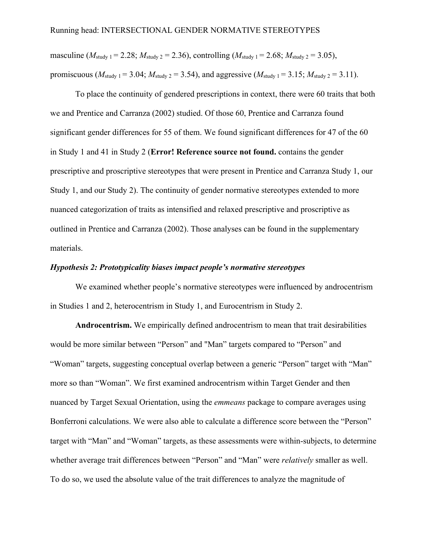masculine ( $M_{\text{study 1}} = 2.28$ ;  $M_{\text{study 2}} = 2.36$ ), controlling ( $M_{\text{study 1}} = 2.68$ ;  $M_{\text{study 2}} = 3.05$ ), promiscuous ( $M_{\text{study 1}} = 3.04$ ;  $M_{\text{study 2}} = 3.54$ ), and aggressive ( $M_{\text{study 1}} = 3.15$ ;  $M_{\text{study 2}} = 3.11$ ).

To place the continuity of gendered prescriptions in context, there were 60 traits that both we and Prentice and Carranza (2002) studied. Of those 60, Prentice and Carranza found significant gender differences for 55 of them. We found significant differences for 47 of the 60 in Study 1 and 41 in Study 2 (**Error! Reference source not found.** contains the gender prescriptive and proscriptive stereotypes that were present in Prentice and Carranza Study 1, our Study 1, and our Study 2). The continuity of gender normative stereotypes extended to more nuanced categorization of traits as intensified and relaxed prescriptive and proscriptive as outlined in Prentice and Carranza (2002). Those analyses can be found in the supplementary materials.

#### *Hypothesis 2: Prototypicality biases impact people's normative stereotypes*

We examined whether people's normative stereotypes were influenced by androcentrism in Studies 1 and 2, heterocentrism in Study 1, and Eurocentrism in Study 2.

**Androcentrism.** We empirically defined androcentrism to mean that trait desirabilities would be more similar between "Person" and "Man" targets compared to "Person" and "Woman" targets, suggesting conceptual overlap between a generic "Person" target with "Man" more so than "Woman". We first examined androcentrism within Target Gender and then nuanced by Target Sexual Orientation, using the *emmeans* package to compare averages using Bonferroni calculations. We were also able to calculate a difference score between the "Person" target with "Man" and "Woman" targets, as these assessments were within-subjects, to determine whether average trait differences between "Person" and "Man" were *relatively* smaller as well. To do so, we used the absolute value of the trait differences to analyze the magnitude of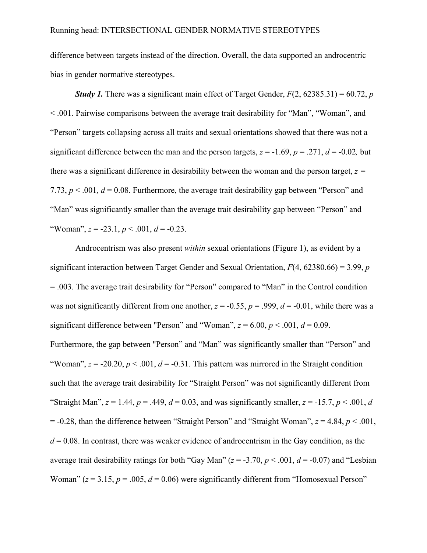difference between targets instead of the direction. Overall, the data supported an androcentric bias in gender normative stereotypes.

**Study 1.** There was a significant main effect of Target Gender,  $F(2, 62385.31) = 60.72$ , *p* < .001. Pairwise comparisons between the average trait desirability for "Man", "Woman", and "Person" targets collapsing across all traits and sexual orientations showed that there was not a significant difference between the man and the person targets,  $z = -1.69$ ,  $p = .271$ ,  $d = -0.02$ , but there was a significant difference in desirability between the woman and the person target,  $z =$ 7.73,  $p < .001$ ,  $d = 0.08$ . Furthermore, the average trait desirability gap between "Person" and "Man" was significantly smaller than the average trait desirability gap between "Person" and "Woman",  $z = -23.1$ ,  $p < .001$ ,  $d = -0.23$ .

Androcentrism was also present *within* sexual orientations (Figure 1), as evident by a significant interaction between Target Gender and Sexual Orientation, *F*(4, 62380.66) = 3.99, *p* = .003. The average trait desirability for "Person" compared to "Man" in the Control condition was not significantly different from one another,  $z = -0.55$ ,  $p = .999$ ,  $d = -0.01$ , while there was a significant difference between "Person" and "Woman",  $z = 6.00$ ,  $p < .001$ ,  $d = 0.09$ . Furthermore, the gap between "Person" and "Man" was significantly smaller than "Person" and "Woman",  $z = -20.20$ ,  $p < .001$ ,  $d = -0.31$ . This pattern was mirrored in the Straight condition such that the average trait desirability for "Straight Person" was not significantly different from "Straight Man",  $z = 1.44$ ,  $p = .449$ ,  $d = 0.03$ , and was significantly smaller,  $z = -15.7$ ,  $p < .001$ ,  $d$ = -0.28, than the difference between "Straight Person" and "Straight Woman", *z* = 4.84, *p* < .001, *d* = 0.08. In contrast, there was weaker evidence of androcentrism in the Gay condition, as the average trait desirability ratings for both "Gay Man"  $(z = -3.70, p < .001, d = -0.07)$  and "Lesbian" Woman"  $(z = 3.15, p = .005, d = 0.06)$  were significantly different from "Homosexual Person"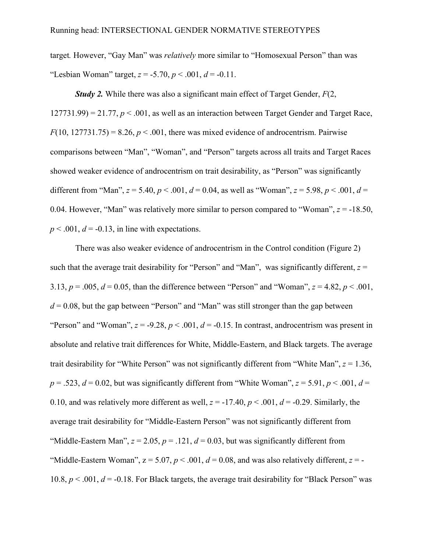target*.* However, "Gay Man" was *relatively* more similar to "Homosexual Person" than was "Lesbian Woman" target, *z* = -5.70, *p* < .001, *d* = -0.11.

*Study 2.* While there was also a significant main effect of Target Gender, *F*(2,  $127731.99$  = 21.77,  $p < .001$ , as well as an interaction between Target Gender and Target Race,  $F(10, 127731.75) = 8.26, p < .001$ , there was mixed evidence of androcentrism. Pairwise comparisons between "Man", "Woman", and "Person" targets across all traits and Target Races showed weaker evidence of androcentrism on trait desirability, as "Person" was significantly different from "Man",  $z = 5.40$ ,  $p < .001$ ,  $d = 0.04$ , as well as "Woman",  $z = 5.98$ ,  $p < .001$ ,  $d =$ 0.04. However, "Man" was relatively more similar to person compared to "Woman", *z* = -18.50,  $p < .001$ ,  $d = -0.13$ , in line with expectations.

There was also weaker evidence of androcentrism in the Control condition (Figure 2) such that the average trait desirability for "Person" and "Man", was significantly different,  $z =$ 3.13,  $p = .005$ ,  $d = 0.05$ , than the difference between "Person" and "Woman",  $z = 4.82$ ,  $p < .001$ ,  $d = 0.08$ , but the gap between "Person" and "Man" was still stronger than the gap between "Person" and "Woman",  $z = -9.28$ ,  $p < .001$ ,  $d = -0.15$ . In contrast, androcentrism was present in absolute and relative trait differences for White, Middle-Eastern, and Black targets. The average trait desirability for "White Person" was not significantly different from "White Man", *z* = 1.36,  $p = .523$ ,  $d = 0.02$ , but was significantly different from "White Woman",  $z = 5.91$ ,  $p < .001$ ,  $d =$ 0.10, and was relatively more different as well,  $z = -17.40$ ,  $p < .001$ ,  $d = -0.29$ . Similarly, the average trait desirability for "Middle-Eastern Person" was not significantly different from "Middle-Eastern Man",  $z = 2.05$ ,  $p = .121$ ,  $d = 0.03$ , but was significantly different from "Middle-Eastern Woman",  $z = 5.07$ ,  $p < .001$ ,  $d = 0.08$ , and was also relatively different,  $z = -$ 10.8,  $p < .001$ ,  $d = -0.18$ . For Black targets, the average trait desirability for "Black Person" was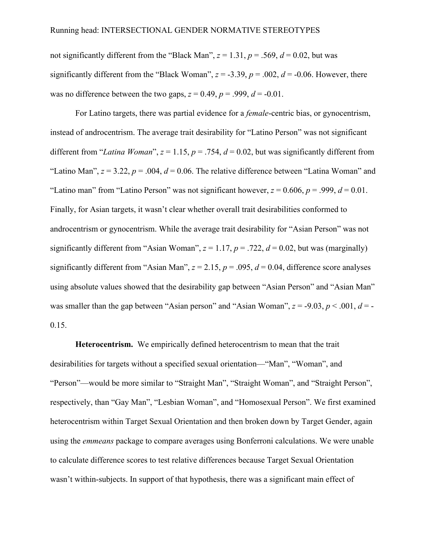not significantly different from the "Black Man",  $z = 1.31$ ,  $p = .569$ ,  $d = 0.02$ , but was significantly different from the "Black Woman",  $z = -3.39$ ,  $p = .002$ ,  $d = -0.06$ . However, there was no difference between the two gaps,  $z = 0.49$ ,  $p = .999$ ,  $d = -0.01$ .

For Latino targets, there was partial evidence for a *female*-centric bias, or gynocentrism, instead of androcentrism. The average trait desirability for "Latino Person" was not significant different from "*Latina Woman*",  $z = 1.15$ ,  $p = .754$ ,  $d = 0.02$ , but was significantly different from "Latino Man",  $z = 3.22$ ,  $p = .004$ ,  $d = 0.06$ . The relative difference between "Latina Woman" and "Latino man" from "Latino Person" was not significant however,  $z = 0.606$ ,  $p = .999$ ,  $d = 0.01$ . Finally, for Asian targets, it wasn't clear whether overall trait desirabilities conformed to androcentrism or gynocentrism. While the average trait desirability for "Asian Person" was not significantly different from "Asian Woman",  $z = 1.17$ ,  $p = .722$ ,  $d = 0.02$ , but was (marginally) significantly different from "Asian Man",  $z = 2.15$ ,  $p = .095$ ,  $d = 0.04$ , difference score analyses using absolute values showed that the desirability gap between "Asian Person" and "Asian Man" was smaller than the gap between "Asian person" and "Asian Woman",  $z = -9.03$ ,  $p < .001$ ,  $d = -1$ 0.15.

**Heterocentrism.** We empirically defined heterocentrism to mean that the trait desirabilities for targets without a specified sexual orientation—"Man", "Woman", and "Person"—would be more similar to "Straight Man", "Straight Woman", and "Straight Person", respectively, than "Gay Man", "Lesbian Woman", and "Homosexual Person". We first examined heterocentrism within Target Sexual Orientation and then broken down by Target Gender, again using the *emmeans* package to compare averages using Bonferroni calculations. We were unable to calculate difference scores to test relative differences because Target Sexual Orientation wasn't within-subjects. In support of that hypothesis, there was a significant main effect of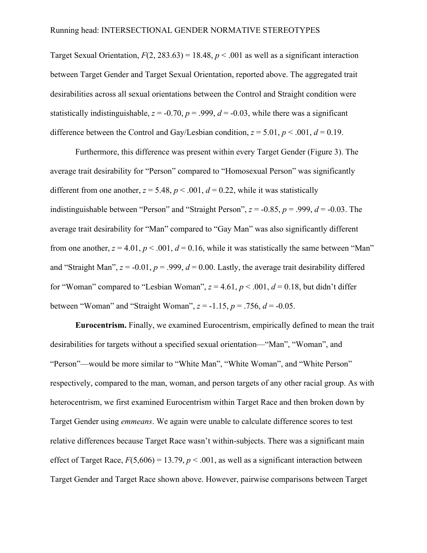Target Sexual Orientation,  $F(2, 283.63) = 18.48$ ,  $p < .001$  as well as a significant interaction between Target Gender and Target Sexual Orientation, reported above. The aggregated trait desirabilities across all sexual orientations between the Control and Straight condition were statistically indistinguishable,  $z = -0.70$ ,  $p = .999$ ,  $d = -0.03$ , while there was a significant difference between the Control and Gay/Lesbian condition,  $z = 5.01$ ,  $p < .001$ ,  $d = 0.19$ .

Furthermore, this difference was present within every Target Gender (Figure 3). The average trait desirability for "Person" compared to "Homosexual Person" was significantly different from one another,  $z = 5.48$ ,  $p < .001$ ,  $d = 0.22$ , while it was statistically indistinguishable between "Person" and "Straight Person",  $z = -0.85$ ,  $p = .999$ ,  $d = -0.03$ . The average trait desirability for "Man" compared to "Gay Man" was also significantly different from one another,  $z = 4.01$ ,  $p < .001$ ,  $d = 0.16$ , while it was statistically the same between "Man" and "Straight Man",  $z = -0.01$ ,  $p = .999$ ,  $d = 0.00$ . Lastly, the average trait desirability differed for "Woman" compared to "Lesbian Woman",  $z = 4.61$ ,  $p < .001$ ,  $d = 0.18$ , but didn't differ between "Woman" and "Straight Woman", *z* = -1.15, *p* = .756, *d* = -0.05.

**Eurocentrism.** Finally, we examined Eurocentrism, empirically defined to mean the trait desirabilities for targets without a specified sexual orientation—"Man", "Woman", and "Person"—would be more similar to "White Man", "White Woman", and "White Person" respectively, compared to the man, woman, and person targets of any other racial group. As with heterocentrism, we first examined Eurocentrism within Target Race and then broken down by Target Gender using *emmeans*. We again were unable to calculate difference scores to test relative differences because Target Race wasn't within-subjects. There was a significant main effect of Target Race,  $F(5,606) = 13.79$ ,  $p < .001$ , as well as a significant interaction between Target Gender and Target Race shown above. However, pairwise comparisons between Target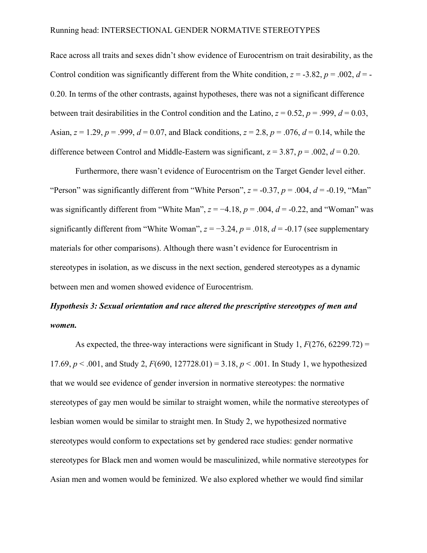Race across all traits and sexes didn't show evidence of Eurocentrism on trait desirability, as the Control condition was significantly different from the White condition,  $z = -3.82$ ,  $p = .002$ ,  $d = -1$ 0.20. In terms of the other contrasts, against hypotheses, there was not a significant difference between trait desirabilities in the Control condition and the Latino,  $z = 0.52$ ,  $p = .999$ ,  $d = 0.03$ , Asian, *z* = 1.29, *p* = .999, *d* = 0.07, and Black conditions, *z* = 2.8, *p* = .076, *d* = 0.14, while the difference between Control and Middle-Eastern was significant,  $z = 3.87$ ,  $p = .002$ ,  $d = 0.20$ .

Furthermore, there wasn't evidence of Eurocentrism on the Target Gender level either. "Person" was significantly different from "White Person",  $z = -0.37$ ,  $p = .004$ ,  $d = -0.19$ , "Man" was significantly different from "White Man",  $z = -4.18$ ,  $p = .004$ ,  $d = -0.22$ , and "Woman" was significantly different from "White Woman",  $z = -3.24$ ,  $p = .018$ ,  $d = -0.17$  (see supplementary materials for other comparisons). Although there wasn't evidence for Eurocentrism in stereotypes in isolation, as we discuss in the next section, gendered stereotypes as a dynamic between men and women showed evidence of Eurocentrism.

# *Hypothesis 3: Sexual orientation and race altered the prescriptive stereotypes of men and women.*

As expected, the three-way interactions were significant in Study 1,  $F(276, 62299.72) =$ 17.69, *p* < .001, and Study 2, *F*(690, 127728.01) = 3.18, *p* < .001. In Study 1, we hypothesized that we would see evidence of gender inversion in normative stereotypes: the normative stereotypes of gay men would be similar to straight women, while the normative stereotypes of lesbian women would be similar to straight men. In Study 2, we hypothesized normative stereotypes would conform to expectations set by gendered race studies: gender normative stereotypes for Black men and women would be masculinized, while normative stereotypes for Asian men and women would be feminized. We also explored whether we would find similar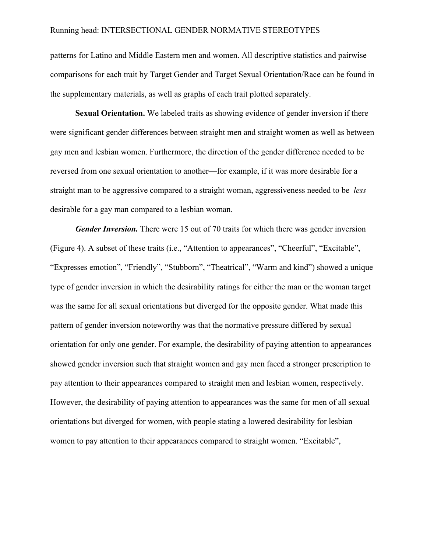patterns for Latino and Middle Eastern men and women. All descriptive statistics and pairwise comparisons for each trait by Target Gender and Target Sexual Orientation/Race can be found in the supplementary materials, as well as graphs of each trait plotted separately.

**Sexual Orientation.** We labeled traits as showing evidence of gender inversion if there were significant gender differences between straight men and straight women as well as between gay men and lesbian women. Furthermore, the direction of the gender difference needed to be reversed from one sexual orientation to another—for example, if it was more desirable for a straight man to be aggressive compared to a straight woman, aggressiveness needed to be *less* desirable for a gay man compared to a lesbian woman.

*Gender Inversion.* There were 15 out of 70 traits for which there was gender inversion (Figure 4). A subset of these traits (i.e., "Attention to appearances", "Cheerful", "Excitable", "Expresses emotion", "Friendly", "Stubborn", "Theatrical", "Warm and kind") showed a unique type of gender inversion in which the desirability ratings for either the man or the woman target was the same for all sexual orientations but diverged for the opposite gender. What made this pattern of gender inversion noteworthy was that the normative pressure differed by sexual orientation for only one gender. For example, the desirability of paying attention to appearances showed gender inversion such that straight women and gay men faced a stronger prescription to pay attention to their appearances compared to straight men and lesbian women, respectively. However, the desirability of paying attention to appearances was the same for men of all sexual orientations but diverged for women, with people stating a lowered desirability for lesbian women to pay attention to their appearances compared to straight women. "Excitable",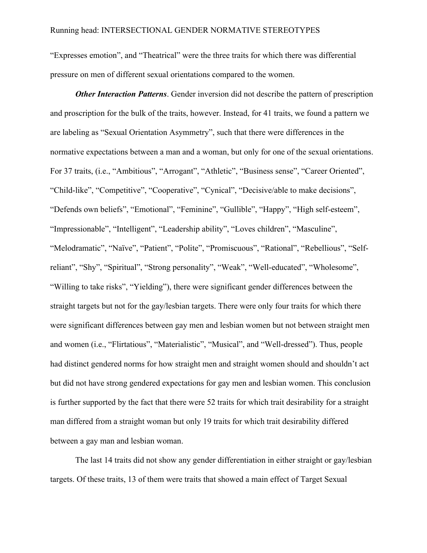"Expresses emotion", and "Theatrical" were the three traits for which there was differential pressure on men of different sexual orientations compared to the women.

*Other Interaction Patterns*. Gender inversion did not describe the pattern of prescription and proscription for the bulk of the traits, however. Instead, for 41 traits, we found a pattern we are labeling as "Sexual Orientation Asymmetry", such that there were differences in the normative expectations between a man and a woman, but only for one of the sexual orientations. For 37 traits, (i.e., "Ambitious", "Arrogant", "Athletic", "Business sense", "Career Oriented", "Child-like", "Competitive", "Cooperative", "Cynical", "Decisive/able to make decisions", "Defends own beliefs", "Emotional", "Feminine", "Gullible", "Happy", "High self-esteem", "Impressionable", "Intelligent", "Leadership ability", "Loves children", "Masculine", "Melodramatic", "Naïve", "Patient", "Polite", "Promiscuous", "Rational", "Rebellious", "Selfreliant", "Shy", "Spiritual", "Strong personality", "Weak", "Well-educated", "Wholesome", "Willing to take risks", "Yielding"), there were significant gender differences between the straight targets but not for the gay/lesbian targets. There were only four traits for which there were significant differences between gay men and lesbian women but not between straight men and women (i.e., "Flirtatious", "Materialistic", "Musical", and "Well-dressed"). Thus, people had distinct gendered norms for how straight men and straight women should and shouldn't act but did not have strong gendered expectations for gay men and lesbian women. This conclusion is further supported by the fact that there were 52 traits for which trait desirability for a straight man differed from a straight woman but only 19 traits for which trait desirability differed between a gay man and lesbian woman.

The last 14 traits did not show any gender differentiation in either straight or gay/lesbian targets. Of these traits, 13 of them were traits that showed a main effect of Target Sexual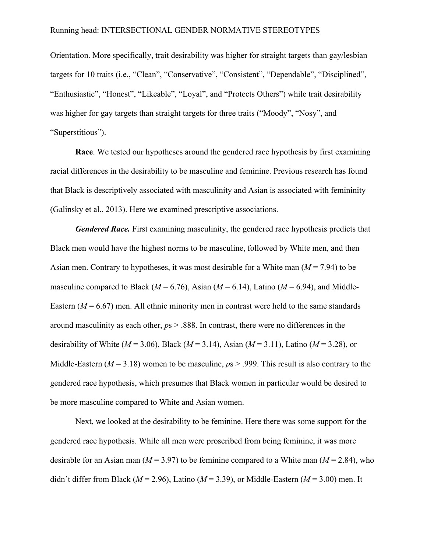Orientation. More specifically, trait desirability was higher for straight targets than gay/lesbian targets for 10 traits (i.e., "Clean", "Conservative", "Consistent", "Dependable", "Disciplined", "Enthusiastic", "Honest", "Likeable", "Loyal", and "Protects Others") while trait desirability was higher for gay targets than straight targets for three traits ("Moody", "Nosy", and "Superstitious").

**Race**. We tested our hypotheses around the gendered race hypothesis by first examining racial differences in the desirability to be masculine and feminine. Previous research has found that Black is descriptively associated with masculinity and Asian is associated with femininity (Galinsky et al., 2013). Here we examined prescriptive associations.

*Gendered Race.* First examining masculinity, the gendered race hypothesis predicts that Black men would have the highest norms to be masculine, followed by White men, and then Asian men. Contrary to hypotheses, it was most desirable for a White man  $(M = 7.94)$  to be masculine compared to Black ( $M = 6.76$ ), Asian ( $M = 6.14$ ), Latino ( $M = 6.94$ ), and Middle-Eastern  $(M = 6.67)$  men. All ethnic minority men in contrast were held to the same standards around masculinity as each other, *p*s > .888. In contrast, there were no differences in the desirability of White ( $M = 3.06$ ), Black ( $M = 3.14$ ), Asian ( $M = 3.11$ ), Latino ( $M = 3.28$ ), or Middle-Eastern ( $M = 3.18$ ) women to be masculine,  $p_s > .999$ . This result is also contrary to the gendered race hypothesis, which presumes that Black women in particular would be desired to be more masculine compared to White and Asian women.

Next, we looked at the desirability to be feminine. Here there was some support for the gendered race hypothesis. While all men were proscribed from being feminine, it was more desirable for an Asian man ( $M = 3.97$ ) to be feminine compared to a White man ( $M = 2.84$ ), who didn't differ from Black ( $M = 2.96$ ), Latino ( $M = 3.39$ ), or Middle-Eastern ( $M = 3.00$ ) men. It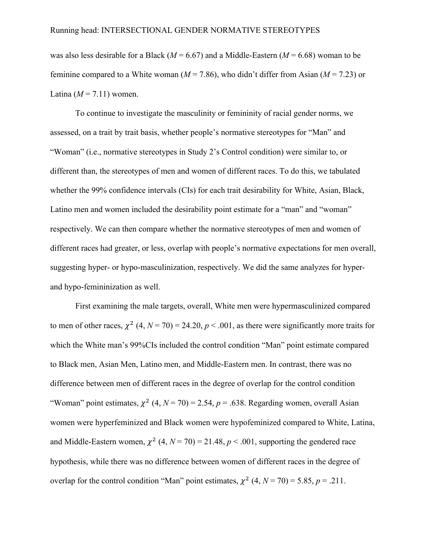was also less desirable for a Black ( $M = 6.67$ ) and a Middle-Eastern ( $M = 6.68$ ) woman to be feminine compared to a White woman (*M* = 7.86), who didn't differ from Asian (*M* = 7.23) or Latina  $(M = 7.11)$  women.

To continue to investigate the masculinity or femininity of racial gender norms, we assessed, on a trait by trait basis, whether people's normative stereotypes for "Man" and "Woman" (i.e., normative stereotypes in Study 2's Control condition) were similar to, or different than, the stereotypes of men and women of different races. To do this, we tabulated whether the 99% confidence intervals (CIs) for each trait desirability for White, Asian, Black, Latino men and women included the desirability point estimate for a "man" and "woman" respectively. We can then compare whether the normative stereotypes of men and women of different races had greater, or less, overlap with people's normative expectations for men overall, suggesting hyper- or hypo-masculinization, respectively. We did the same analyzes for hyperand hypo-femininization as well.

First examining the male targets, overall, White men were hypermasculinized compared to men of other races,  $\chi^2$  (4, *N* = 70) = 24.20, *p* < .001, as there were significantly more traits for which the White man's 99%CIs included the control condition "Man" point estimate compared to Black men, Asian Men, Latino men, and Middle-Eastern men. In contrast, there was no difference between men of different races in the degree of overlap for the control condition "Woman" point estimates,  $\chi^2$  (4, *N* = 70) = 2.54, *p* = .638. Regarding women, overall Asian women were hyperfeminized and Black women were hypofeminized compared to White, Latina, and Middle-Eastern women,  $\chi^2$  (4,  $N = 70$ ) = 21.48,  $p < .001$ , supporting the gendered race hypothesis, while there was no difference between women of different races in the degree of overlap for the control condition "Man" point estimates,  $\chi^2$  (4,  $N = 70$ ) = 5.85,  $p = .211$ .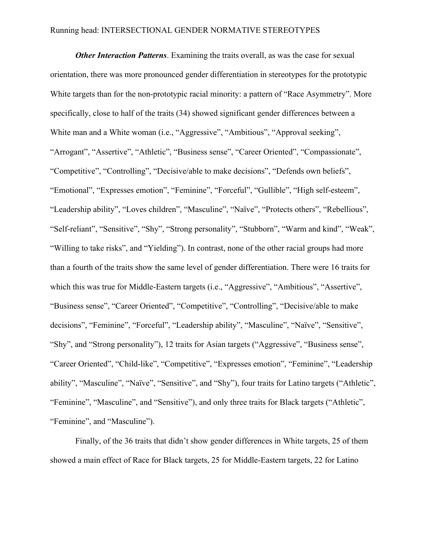*Other Interaction Patterns.* Examining the traits overall, as was the case for sexual orientation, there was more pronounced gender differentiation in stereotypes for the prototypic White targets than for the non-prototypic racial minority: a pattern of "Race Asymmetry". More specifically, close to half of the traits (34) showed significant gender differences between a White man and a White woman (i.e., "Aggressive", "Ambitious", "Approval seeking", "Arrogant", "Assertive", "Athletic", "Business sense", "Career Oriented", "Compassionate", "Competitive", "Controlling", "Decisive/able to make decisions", "Defends own beliefs", "Emotional", "Expresses emotion", "Feminine", "Forceful", "Gullible", "High self-esteem", "Leadership ability", "Loves children", "Masculine", "Naïve", "Protects others", "Rebellious", "Self-reliant", "Sensitive", "Shy", "Strong personality", "Stubborn", "Warm and kind", "Weak", "Willing to take risks", and "Yielding"). In contrast, none of the other racial groups had more than a fourth of the traits show the same level of gender differentiation. There were 16 traits for which this was true for Middle-Eastern targets (i.e., "Aggressive", "Ambitious", "Assertive", "Business sense", "Career Oriented", "Competitive", "Controlling", "Decisive/able to make decisions", "Feminine", "Forceful", "Leadership ability", "Masculine", "Naïve", "Sensitive", "Shy", and "Strong personality"), 12 traits for Asian targets ("Aggressive", "Business sense", "Career Oriented", "Child-like", "Competitive", "Expresses emotion", "Feminine", "Leadership ability", "Masculine", "Naïve", "Sensitive", and "Shy"), four traits for Latino targets ("Athletic", "Feminine", "Masculine", and "Sensitive"), and only three traits for Black targets ("Athletic", "Feminine", and "Masculine").

Finally, of the 36 traits that didn't show gender differences in White targets, 25 of them showed a main effect of Race for Black targets, 25 for Middle-Eastern targets, 22 for Latino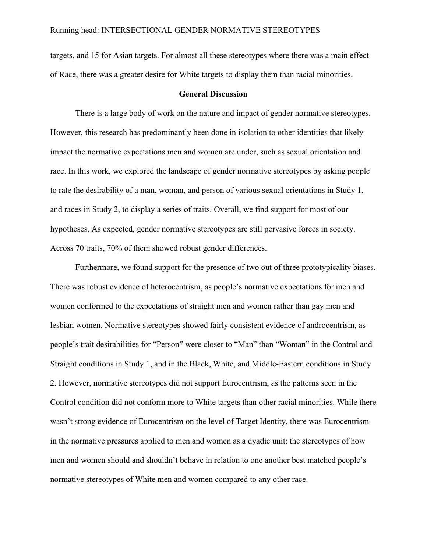targets, and 15 for Asian targets. For almost all these stereotypes where there was a main effect of Race, there was a greater desire for White targets to display them than racial minorities.

#### **General Discussion**

There is a large body of work on the nature and impact of gender normative stereotypes. However, this research has predominantly been done in isolation to other identities that likely impact the normative expectations men and women are under, such as sexual orientation and race. In this work, we explored the landscape of gender normative stereotypes by asking people to rate the desirability of a man, woman, and person of various sexual orientations in Study 1, and races in Study 2, to display a series of traits. Overall, we find support for most of our hypotheses. As expected, gender normative stereotypes are still pervasive forces in society. Across 70 traits, 70% of them showed robust gender differences.

Furthermore, we found support for the presence of two out of three prototypicality biases. There was robust evidence of heterocentrism, as people's normative expectations for men and women conformed to the expectations of straight men and women rather than gay men and lesbian women. Normative stereotypes showed fairly consistent evidence of androcentrism, as people's trait desirabilities for "Person" were closer to "Man" than "Woman" in the Control and Straight conditions in Study 1, and in the Black, White, and Middle-Eastern conditions in Study 2. However, normative stereotypes did not support Eurocentrism, as the patterns seen in the Control condition did not conform more to White targets than other racial minorities. While there wasn't strong evidence of Eurocentrism on the level of Target Identity, there was Eurocentrism in the normative pressures applied to men and women as a dyadic unit: the stereotypes of how men and women should and shouldn't behave in relation to one another best matched people's normative stereotypes of White men and women compared to any other race.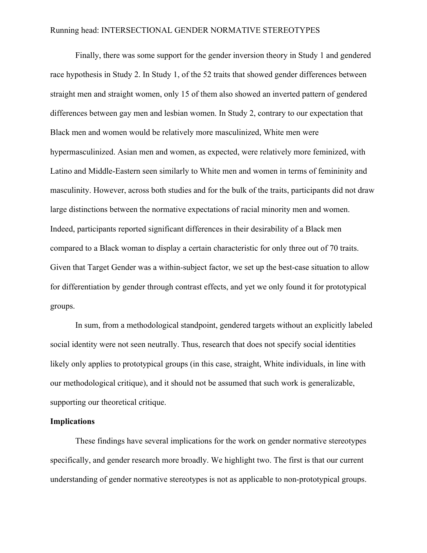Finally, there was some support for the gender inversion theory in Study 1 and gendered race hypothesis in Study 2. In Study 1, of the 52 traits that showed gender differences between straight men and straight women, only 15 of them also showed an inverted pattern of gendered differences between gay men and lesbian women. In Study 2, contrary to our expectation that Black men and women would be relatively more masculinized, White men were hypermasculinized. Asian men and women, as expected, were relatively more feminized, with Latino and Middle-Eastern seen similarly to White men and women in terms of femininity and masculinity. However, across both studies and for the bulk of the traits, participants did not draw large distinctions between the normative expectations of racial minority men and women. Indeed, participants reported significant differences in their desirability of a Black men compared to a Black woman to display a certain characteristic for only three out of 70 traits. Given that Target Gender was a within-subject factor, we set up the best-case situation to allow for differentiation by gender through contrast effects, and yet we only found it for prototypical groups.

In sum, from a methodological standpoint, gendered targets without an explicitly labeled social identity were not seen neutrally. Thus, research that does not specify social identities likely only applies to prototypical groups (in this case, straight, White individuals, in line with our methodological critique), and it should not be assumed that such work is generalizable, supporting our theoretical critique.

#### **Implications**

These findings have several implications for the work on gender normative stereotypes specifically, and gender research more broadly. We highlight two. The first is that our current understanding of gender normative stereotypes is not as applicable to non-prototypical groups.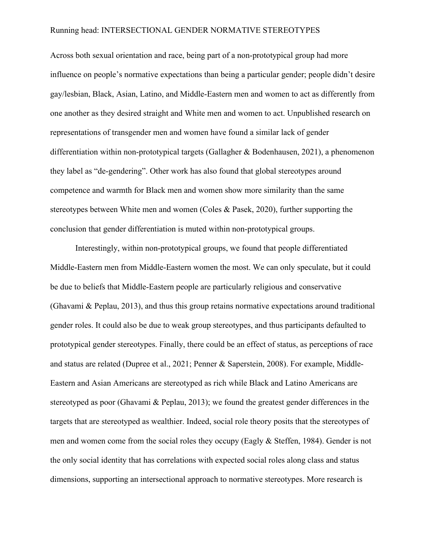Across both sexual orientation and race, being part of a non-prototypical group had more influence on people's normative expectations than being a particular gender; people didn't desire gay/lesbian, Black, Asian, Latino, and Middle-Eastern men and women to act as differently from one another as they desired straight and White men and women to act. Unpublished research on representations of transgender men and women have found a similar lack of gender differentiation within non-prototypical targets (Gallagher & Bodenhausen, 2021), a phenomenon they label as "de-gendering". Other work has also found that global stereotypes around competence and warmth for Black men and women show more similarity than the same stereotypes between White men and women (Coles & Pasek, 2020), further supporting the conclusion that gender differentiation is muted within non-prototypical groups.

Interestingly, within non-prototypical groups, we found that people differentiated Middle-Eastern men from Middle-Eastern women the most. We can only speculate, but it could be due to beliefs that Middle-Eastern people are particularly religious and conservative (Ghavami & Peplau, 2013), and thus this group retains normative expectations around traditional gender roles. It could also be due to weak group stereotypes, and thus participants defaulted to prototypical gender stereotypes. Finally, there could be an effect of status, as perceptions of race and status are related (Dupree et al., 2021; Penner & Saperstein, 2008). For example, Middle-Eastern and Asian Americans are stereotyped as rich while Black and Latino Americans are stereotyped as poor (Ghavami & Peplau, 2013); we found the greatest gender differences in the targets that are stereotyped as wealthier. Indeed, social role theory posits that the stereotypes of men and women come from the social roles they occupy (Eagly & Steffen, 1984). Gender is not the only social identity that has correlations with expected social roles along class and status dimensions, supporting an intersectional approach to normative stereotypes. More research is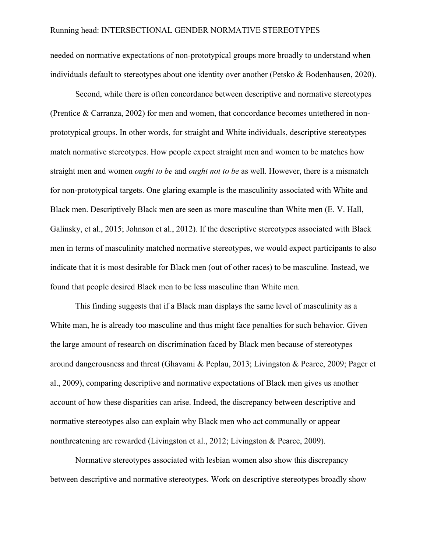needed on normative expectations of non-prototypical groups more broadly to understand when individuals default to stereotypes about one identity over another (Petsko & Bodenhausen, 2020).

Second, while there is often concordance between descriptive and normative stereotypes (Prentice & Carranza, 2002) for men and women, that concordance becomes untethered in nonprototypical groups. In other words, for straight and White individuals, descriptive stereotypes match normative stereotypes. How people expect straight men and women to be matches how straight men and women *ought to be* and *ought not to be* as well. However, there is a mismatch for non-prototypical targets. One glaring example is the masculinity associated with White and Black men. Descriptively Black men are seen as more masculine than White men (E. V. Hall, Galinsky, et al., 2015; Johnson et al., 2012). If the descriptive stereotypes associated with Black men in terms of masculinity matched normative stereotypes, we would expect participants to also indicate that it is most desirable for Black men (out of other races) to be masculine. Instead, we found that people desired Black men to be less masculine than White men.

This finding suggests that if a Black man displays the same level of masculinity as a White man, he is already too masculine and thus might face penalties for such behavior. Given the large amount of research on discrimination faced by Black men because of stereotypes around dangerousness and threat (Ghavami & Peplau, 2013; Livingston & Pearce, 2009; Pager et al., 2009), comparing descriptive and normative expectations of Black men gives us another account of how these disparities can arise. Indeed, the discrepancy between descriptive and normative stereotypes also can explain why Black men who act communally or appear nonthreatening are rewarded (Livingston et al., 2012; Livingston & Pearce, 2009).

Normative stereotypes associated with lesbian women also show this discrepancy between descriptive and normative stereotypes. Work on descriptive stereotypes broadly show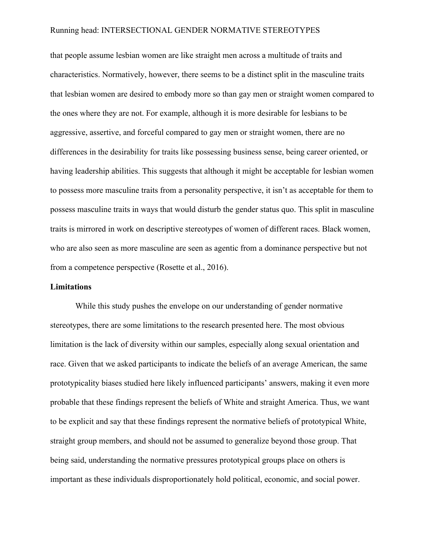that people assume lesbian women are like straight men across a multitude of traits and characteristics. Normatively, however, there seems to be a distinct split in the masculine traits that lesbian women are desired to embody more so than gay men or straight women compared to the ones where they are not. For example, although it is more desirable for lesbians to be aggressive, assertive, and forceful compared to gay men or straight women, there are no differences in the desirability for traits like possessing business sense, being career oriented, or having leadership abilities. This suggests that although it might be acceptable for lesbian women to possess more masculine traits from a personality perspective, it isn't as acceptable for them to possess masculine traits in ways that would disturb the gender status quo. This split in masculine traits is mirrored in work on descriptive stereotypes of women of different races. Black women, who are also seen as more masculine are seen as agentic from a dominance perspective but not from a competence perspective (Rosette et al., 2016).

#### **Limitations**

While this study pushes the envelope on our understanding of gender normative stereotypes, there are some limitations to the research presented here. The most obvious limitation is the lack of diversity within our samples, especially along sexual orientation and race. Given that we asked participants to indicate the beliefs of an average American, the same prototypicality biases studied here likely influenced participants' answers, making it even more probable that these findings represent the beliefs of White and straight America. Thus, we want to be explicit and say that these findings represent the normative beliefs of prototypical White, straight group members, and should not be assumed to generalize beyond those group. That being said, understanding the normative pressures prototypical groups place on others is important as these individuals disproportionately hold political, economic, and social power.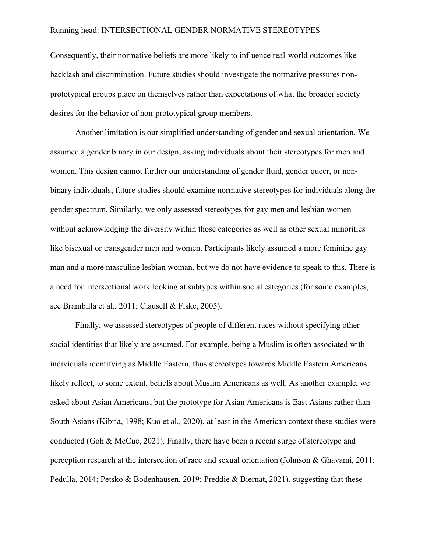Consequently, their normative beliefs are more likely to influence real-world outcomes like backlash and discrimination. Future studies should investigate the normative pressures nonprototypical groups place on themselves rather than expectations of what the broader society desires for the behavior of non-prototypical group members.

Another limitation is our simplified understanding of gender and sexual orientation. We assumed a gender binary in our design, asking individuals about their stereotypes for men and women. This design cannot further our understanding of gender fluid, gender queer, or nonbinary individuals; future studies should examine normative stereotypes for individuals along the gender spectrum. Similarly, we only assessed stereotypes for gay men and lesbian women without acknowledging the diversity within those categories as well as other sexual minorities like bisexual or transgender men and women. Participants likely assumed a more feminine gay man and a more masculine lesbian woman, but we do not have evidence to speak to this. There is a need for intersectional work looking at subtypes within social categories (for some examples, see Brambilla et al., 2011; Clausell & Fiske, 2005).

Finally, we assessed stereotypes of people of different races without specifying other social identities that likely are assumed. For example, being a Muslim is often associated with individuals identifying as Middle Eastern, thus stereotypes towards Middle Eastern Americans likely reflect, to some extent, beliefs about Muslim Americans as well. As another example, we asked about Asian Americans, but the prototype for Asian Americans is East Asians rather than South Asians (Kibria, 1998; Kuo et al., 2020), at least in the American context these studies were conducted (Goh & McCue, 2021). Finally, there have been a recent surge of stereotype and perception research at the intersection of race and sexual orientation (Johnson & Ghavami, 2011; Pedulla, 2014; Petsko & Bodenhausen, 2019; Preddie & Biernat, 2021), suggesting that these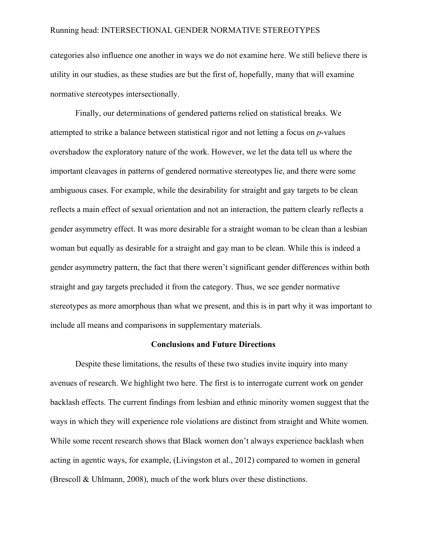categories also influence one another in ways we do not examine here. We still believe there is utility in our studies, as these studies are but the first of, hopefully, many that will examine normative stereotypes intersectionally.

Finally, our determinations of gendered patterns relied on statistical breaks. We attempted to strike a balance between statistical rigor and not letting a focus on *p*-values overshadow the exploratory nature of the work. However, we let the data tell us where the important cleavages in patterns of gendered normative stereotypes lie, and there were some ambiguous cases. For example, while the desirability for straight and gay targets to be clean reflects a main effect of sexual orientation and not an interaction, the pattern clearly reflects a gender asymmetry effect. It was more desirable for a straight woman to be clean than a lesbian woman but equally as desirable for a straight and gay man to be clean. While this is indeed a gender asymmetry pattern, the fact that there weren't significant gender differences within both straight and gay targets precluded it from the category. Thus, we see gender normative stereotypes as more amorphous than what we present, and this is in part why it was important to include all means and comparisons in supplementary materials.

#### **Conclusions and Future Directions**

Despite these limitations, the results of these two studies invite inquiry into many avenues of research. We highlight two here. The first is to interrogate current work on gender backlash effects. The current findings from lesbian and ethnic minority women suggest that the ways in which they will experience role violations are distinct from straight and White women. While some recent research shows that Black women don't always experience backlash when acting in agentic ways, for example, (Livingston et al., 2012) compared to women in general (Brescoll & Uhlmann, 2008), much of the work blurs over these distinctions.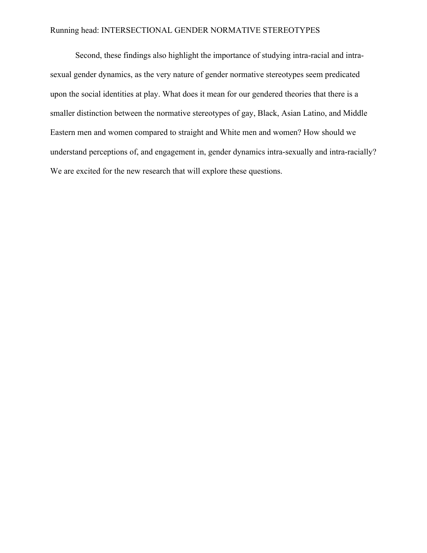Second, these findings also highlight the importance of studying intra-racial and intrasexual gender dynamics, as the very nature of gender normative stereotypes seem predicated upon the social identities at play. What does it mean for our gendered theories that there is a smaller distinction between the normative stereotypes of gay, Black, Asian Latino, and Middle Eastern men and women compared to straight and White men and women? How should we understand perceptions of, and engagement in, gender dynamics intra-sexually and intra-racially? We are excited for the new research that will explore these questions.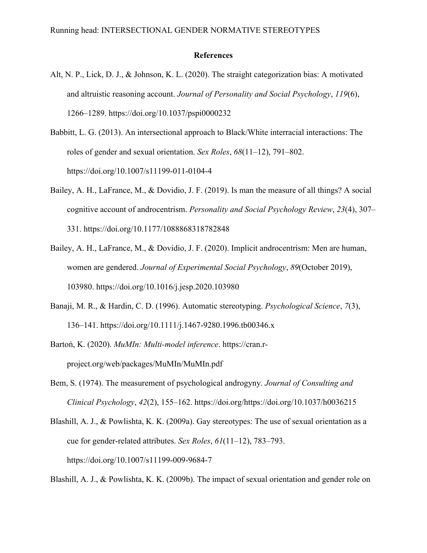#### **References**

- Alt, N. P., Lick, D. J., & Johnson, K. L. (2020). The straight categorization bias: A motivated and altruistic reasoning account. *Journal of Personality and Social Psychology*, *119*(6), 1266–1289. https://doi.org/10.1037/pspi0000232
- Babbitt, L. G. (2013). An intersectional approach to Black/White interracial interactions: The roles of gender and sexual orientation. *Sex Roles*, *68*(11–12), 791–802. https://doi.org/10.1007/s11199-011-0104-4
- Bailey, A. H., LaFrance, M., & Dovidio, J. F. (2019). Is man the measure of all things? A social cognitive account of androcentrism. *Personality and Social Psychology Review*, *23*(4), 307– 331. https://doi.org/10.1177/1088868318782848
- Bailey, A. H., LaFrance, M., & Dovidio, J. F. (2020). Implicit androcentrism: Men are human, women are gendered. *Journal of Experimental Social Psychology*, *89*(October 2019), 103980. https://doi.org/10.1016/j.jesp.2020.103980
- Banaji, M. R., & Hardin, C. D. (1996). Automatic stereotyping. *Psychological Science*, *7*(3), 136–141. https://doi.org/10.1111/j.1467-9280.1996.tb00346.x
- Bartoń, K. (2020). *MuMIn: Multi‐model inference*. https://cran.rproject.org/web/packages/MuMIn/MuMIn.pdf
- Bem, S. (1974). The measurement of psychological androgyny. *Journal of Consulting and Clinical Psychology*, *42*(2), 155–162. https://doi.org/https://doi.org/10.1037/h0036215
- Blashill, A. J., & Powlishta, K. K. (2009a). Gay stereotypes: The use of sexual orientation as a cue for gender-related attributes. *Sex Roles*, *61*(11–12), 783–793. https://doi.org/10.1007/s11199-009-9684-7

Blashill, A. J., & Powlishta, K. K. (2009b). The impact of sexual orientation and gender role on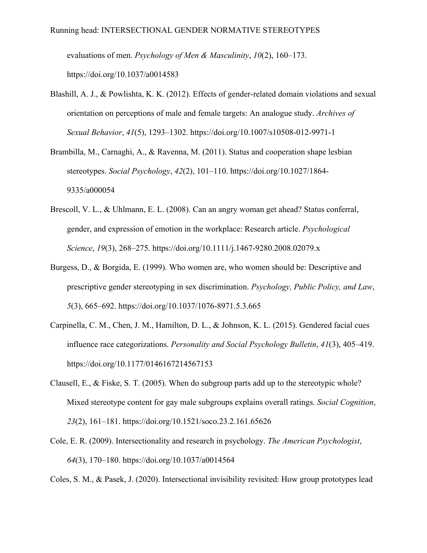evaluations of men. *Psychology of Men & Masculinity*, *10*(2), 160–173. https://doi.org/10.1037/a0014583

- Blashill, A. J., & Powlishta, K. K. (2012). Effects of gender-related domain violations and sexual orientation on perceptions of male and female targets: An analogue study. *Archives of Sexual Behavior*, *41*(5), 1293–1302. https://doi.org/10.1007/s10508-012-9971-1
- Brambilla, M., Carnaghi, A., & Ravenna, M. (2011). Status and cooperation shape lesbian stereotypes. *Social Psychology*, *42*(2), 101–110. https://doi.org/10.1027/1864- 9335/a000054
- Brescoll, V. L., & Uhlmann, E. L. (2008). Can an angry woman get ahead? Status conferral, gender, and expression of emotion in the workplace: Research article. *Psychological Science*, *19*(3), 268–275. https://doi.org/10.1111/j.1467-9280.2008.02079.x
- Burgess, D., & Borgida, E. (1999). Who women are, who women should be: Descriptive and prescriptive gender stereotyping in sex discrimination. *Psychology, Public Policy, and Law*, *5*(3), 665–692. https://doi.org/10.1037/1076-8971.5.3.665
- Carpinella, C. M., Chen, J. M., Hamilton, D. L., & Johnson, K. L. (2015). Gendered facial cues influence race categorizations. *Personality and Social Psychology Bulletin*, *41*(3), 405–419. https://doi.org/10.1177/0146167214567153
- Clausell, E., & Fiske, S. T. (2005). When do subgroup parts add up to the stereotypic whole? Mixed stereotype content for gay male subgroups explains overall ratings. *Social Cognition*, *23*(2), 161–181. https://doi.org/10.1521/soco.23.2.161.65626
- Cole, E. R. (2009). Intersectionality and research in psychology. *The American Psychologist*, *64*(3), 170–180. https://doi.org/10.1037/a0014564

Coles, S. M., & Pasek, J. (2020). Intersectional invisibility revisited: How group prototypes lead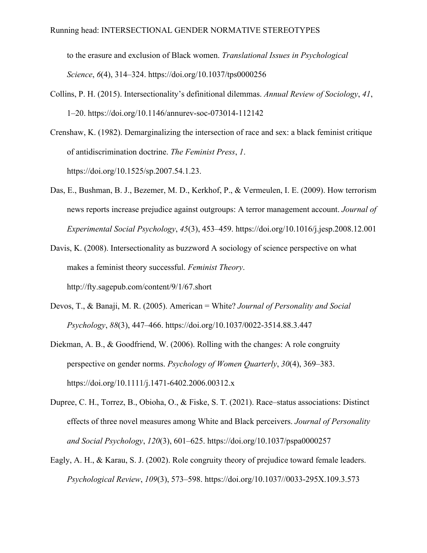to the erasure and exclusion of Black women. *Translational Issues in Psychological Science*, *6*(4), 314–324. https://doi.org/10.1037/tps0000256

- Collins, P. H. (2015). Intersectionality's definitional dilemmas. *Annual Review of Sociology*, *41*, 1–20. https://doi.org/10.1146/annurev-soc-073014-112142
- Crenshaw, K. (1982). Demarginalizing the intersection of race and sex: a black feminist critique of antidiscrimination doctrine. *The Feminist Press*, *1*. https://doi.org/10.1525/sp.2007.54.1.23.
- Das, E., Bushman, B. J., Bezemer, M. D., Kerkhof, P., & Vermeulen, I. E. (2009). How terrorism news reports increase prejudice against outgroups: A terror management account. *Journal of Experimental Social Psychology*, *45*(3), 453–459. https://doi.org/10.1016/j.jesp.2008.12.001
- Davis, K. (2008). Intersectionality as buzzword A sociology of science perspective on what makes a feminist theory successful. *Feminist Theory*.

http://fty.sagepub.com/content/9/1/67.short

- Devos, T., & Banaji, M. R. (2005). American = White? *Journal of Personality and Social Psychology*, *88*(3), 447–466. https://doi.org/10.1037/0022-3514.88.3.447
- Diekman, A. B., & Goodfriend, W. (2006). Rolling with the changes: A role congruity perspective on gender norms. *Psychology of Women Quarterly*, *30*(4), 369–383. https://doi.org/10.1111/j.1471-6402.2006.00312.x
- Dupree, C. H., Torrez, B., Obioha, O., & Fiske, S. T. (2021). Race–status associations: Distinct effects of three novel measures among White and Black perceivers. *Journal of Personality and Social Psychology*, *120*(3), 601–625. https://doi.org/10.1037/pspa0000257
- Eagly, A. H., & Karau, S. J. (2002). Role congruity theory of prejudice toward female leaders. *Psychological Review*, *109*(3), 573–598. https://doi.org/10.1037//0033-295X.109.3.573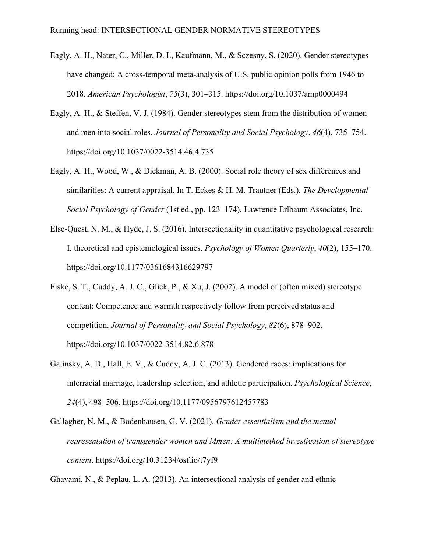- Eagly, A. H., Nater, C., Miller, D. I., Kaufmann, M., & Sczesny, S. (2020). Gender stereotypes have changed: A cross-temporal meta-analysis of U.S. public opinion polls from 1946 to 2018. *American Psychologist*, *75*(3), 301–315. https://doi.org/10.1037/amp0000494
- Eagly, A. H., & Steffen, V. J. (1984). Gender stereotypes stem from the distribution of women and men into social roles. *Journal of Personality and Social Psychology*, *46*(4), 735–754. https://doi.org/10.1037/0022-3514.46.4.735
- Eagly, A. H., Wood, W., & Diekman, A. B. (2000). Social role theory of sex differences and similarities: A current appraisal. In T. Eckes & H. M. Trautner (Eds.), *The Developmental Social Psychology of Gender* (1st ed., pp. 123–174). Lawrence Erlbaum Associates, Inc.
- Else-Quest, N. M., & Hyde, J. S. (2016). Intersectionality in quantitative psychological research: I. theoretical and epistemological issues. *Psychology of Women Quarterly*, *40*(2), 155–170. https://doi.org/10.1177/0361684316629797
- Fiske, S. T., Cuddy, A. J. C., Glick, P., & Xu, J. (2002). A model of (often mixed) stereotype content: Competence and warmth respectively follow from perceived status and competition. *Journal of Personality and Social Psychology*, *82*(6), 878–902. https://doi.org/10.1037/0022-3514.82.6.878
- Galinsky, A. D., Hall, E. V., & Cuddy, A. J. C. (2013). Gendered races: implications for interracial marriage, leadership selection, and athletic participation. *Psychological Science*, *24*(4), 498–506. https://doi.org/10.1177/0956797612457783
- Gallagher, N. M., & Bodenhausen, G. V. (2021). *Gender essentialism and the mental representation of transgender women and Mmen: A multimethod investigation of stereotype content*. https://doi.org/10.31234/osf.io/t7yf9

Ghavami, N., & Peplau, L. A. (2013). An intersectional analysis of gender and ethnic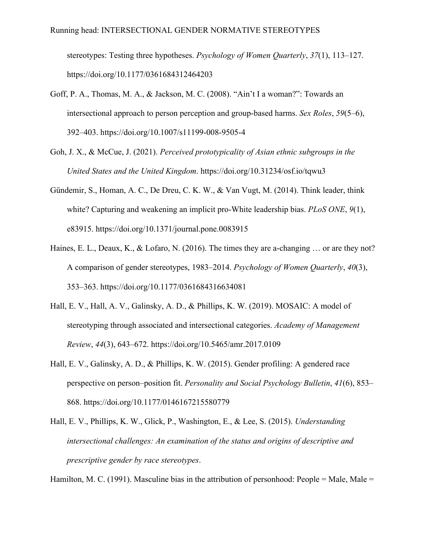stereotypes: Testing three hypotheses. *Psychology of Women Quarterly*, *37*(1), 113–127. https://doi.org/10.1177/0361684312464203

- Goff, P. A., Thomas, M. A., & Jackson, M. C. (2008). "Ain't I a woman?": Towards an intersectional approach to person perception and group-based harms. *Sex Roles*, *59*(5–6), 392–403. https://doi.org/10.1007/s11199-008-9505-4
- Goh, J. X., & McCue, J. (2021). *Perceived prototypicality of Asian ethnic subgroups in the United States and the United Kingdom*. https://doi.org/10.31234/osf.io/tqwu3
- Gündemir, S., Homan, A. C., De Dreu, C. K. W., & Van Vugt, M. (2014). Think leader, think white? Capturing and weakening an implicit pro-White leadership bias. *PLoS ONE*, *9*(1), e83915. https://doi.org/10.1371/journal.pone.0083915
- Haines, E. L., Deaux, K., & Lofaro, N. (2016). The times they are a-changing … or are they not? A comparison of gender stereotypes, 1983–2014. *Psychology of Women Quarterly*, *40*(3), 353–363. https://doi.org/10.1177/0361684316634081
- Hall, E. V., Hall, A. V., Galinsky, A. D., & Phillips, K. W. (2019). MOSAIC: A model of stereotyping through associated and intersectional categories. *Academy of Management Review*, *44*(3), 643–672. https://doi.org/10.5465/amr.2017.0109
- Hall, E. V., Galinsky, A. D., & Phillips, K. W. (2015). Gender profiling: A gendered race perspective on person–position fit. *Personality and Social Psychology Bulletin*, *41*(6), 853– 868. https://doi.org/10.1177/0146167215580779
- Hall, E. V., Phillips, K. W., Glick, P., Washington, E., & Lee, S. (2015). *Understanding intersectional challenges: An examination of the status and origins of descriptive and prescriptive gender by race stereotypes*.

Hamilton, M. C. (1991). Masculine bias in the attribution of personhood: People = Male, Male =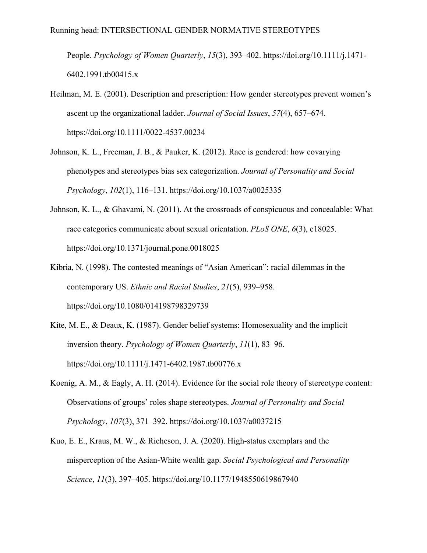People. *Psychology of Women Quarterly*, *15*(3), 393–402. https://doi.org/10.1111/j.1471- 6402.1991.tb00415.x

- Heilman, M. E. (2001). Description and prescription: How gender stereotypes prevent women's ascent up the organizational ladder. *Journal of Social Issues*, *57*(4), 657–674. https://doi.org/10.1111/0022-4537.00234
- Johnson, K. L., Freeman, J. B., & Pauker, K. (2012). Race is gendered: how covarying phenotypes and stereotypes bias sex categorization. *Journal of Personality and Social Psychology*, *102*(1), 116–131. https://doi.org/10.1037/a0025335
- Johnson, K. L., & Ghavami, N. (2011). At the crossroads of conspicuous and concealable: What race categories communicate about sexual orientation. *PLoS ONE*, *6*(3), e18025. https://doi.org/10.1371/journal.pone.0018025
- Kibria, N. (1998). The contested meanings of "Asian American": racial dilemmas in the contemporary US. *Ethnic and Racial Studies*, *21*(5), 939–958. https://doi.org/10.1080/014198798329739
- Kite, M. E., & Deaux, K. (1987). Gender belief systems: Homosexuality and the implicit inversion theory. *Psychology of Women Quarterly*, *11*(1), 83–96. https://doi.org/10.1111/j.1471-6402.1987.tb00776.x
- Koenig, A. M., & Eagly, A. H. (2014). Evidence for the social role theory of stereotype content: Observations of groups' roles shape stereotypes. *Journal of Personality and Social Psychology*, *107*(3), 371–392. https://doi.org/10.1037/a0037215
- Kuo, E. E., Kraus, M. W., & Richeson, J. A. (2020). High-status exemplars and the misperception of the Asian-White wealth gap. *Social Psychological and Personality Science*, *11*(3), 397–405. https://doi.org/10.1177/1948550619867940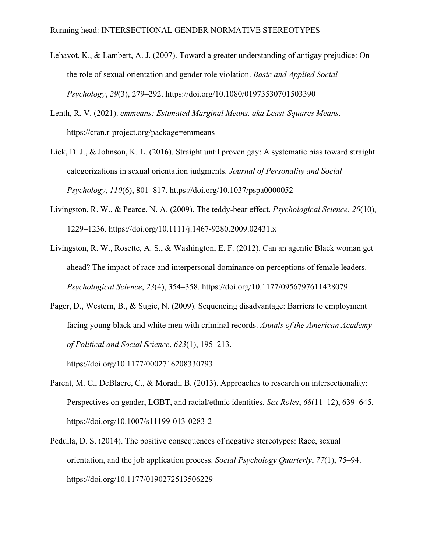- Lehavot, K., & Lambert, A. J. (2007). Toward a greater understanding of antigay prejudice: On the role of sexual orientation and gender role violation. *Basic and Applied Social Psychology*, *29*(3), 279–292. https://doi.org/10.1080/01973530701503390
- Lenth, R. V. (2021). *emmeans: Estimated Marginal Means, aka Least-Squares Means*. https://cran.r-project.org/package=emmeans
- Lick, D. J., & Johnson, K. L. (2016). Straight until proven gay: A systematic bias toward straight categorizations in sexual orientation judgments. *Journal of Personality and Social Psychology*, *110*(6), 801–817. https://doi.org/10.1037/pspa0000052
- Livingston, R. W., & Pearce, N. A. (2009). The teddy-bear effect. *Psychological Science*, *20*(10), 1229–1236. https://doi.org/10.1111/j.1467-9280.2009.02431.x
- Livingston, R. W., Rosette, A. S., & Washington, E. F. (2012). Can an agentic Black woman get ahead? The impact of race and interpersonal dominance on perceptions of female leaders. *Psychological Science*, *23*(4), 354–358. https://doi.org/10.1177/0956797611428079
- Pager, D., Western, B., & Sugie, N. (2009). Sequencing disadvantage: Barriers to employment facing young black and white men with criminal records. *Annals of the American Academy of Political and Social Science*, *623*(1), 195–213. https://doi.org/10.1177/0002716208330793
- Parent, M. C., DeBlaere, C., & Moradi, B. (2013). Approaches to research on intersectionality: Perspectives on gender, LGBT, and racial/ethnic identities. *Sex Roles*, *68*(11–12), 639–645. https://doi.org/10.1007/s11199-013-0283-2
- Pedulla, D. S. (2014). The positive consequences of negative stereotypes: Race, sexual orientation, and the job application process. *Social Psychology Quarterly*, *77*(1), 75–94. https://doi.org/10.1177/0190272513506229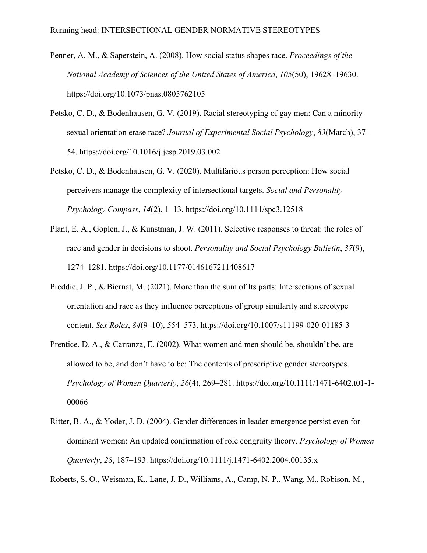- Penner, A. M., & Saperstein, A. (2008). How social status shapes race. *Proceedings of the National Academy of Sciences of the United States of America*, *105*(50), 19628–19630. https://doi.org/10.1073/pnas.0805762105
- Petsko, C. D., & Bodenhausen, G. V. (2019). Racial stereotyping of gay men: Can a minority sexual orientation erase race? *Journal of Experimental Social Psychology*, *83*(March), 37– 54. https://doi.org/10.1016/j.jesp.2019.03.002
- Petsko, C. D., & Bodenhausen, G. V. (2020). Multifarious person perception: How social perceivers manage the complexity of intersectional targets. *Social and Personality Psychology Compass*, *14*(2), 1–13. https://doi.org/10.1111/spc3.12518
- Plant, E. A., Goplen, J., & Kunstman, J. W. (2011). Selective responses to threat: the roles of race and gender in decisions to shoot. *Personality and Social Psychology Bulletin*, *37*(9), 1274–1281. https://doi.org/10.1177/0146167211408617
- Preddie, J. P., & Biernat, M. (2021). More than the sum of Its parts: Intersections of sexual orientation and race as they influence perceptions of group similarity and stereotype content. *Sex Roles*, *84*(9–10), 554–573. https://doi.org/10.1007/s11199-020-01185-3
- Prentice, D. A., & Carranza, E. (2002). What women and men should be, shouldn't be, are allowed to be, and don't have to be: The contents of prescriptive gender stereotypes. *Psychology of Women Quarterly*, *26*(4), 269–281. https://doi.org/10.1111/1471-6402.t01-1- 00066
- Ritter, B. A., & Yoder, J. D. (2004). Gender differences in leader emergence persist even for dominant women: An updated confirmation of role congruity theory. *Psychology of Women Quarterly*, *28*, 187–193. https://doi.org/10.1111/j.1471-6402.2004.00135.x

Roberts, S. O., Weisman, K., Lane, J. D., Williams, A., Camp, N. P., Wang, M., Robison, M.,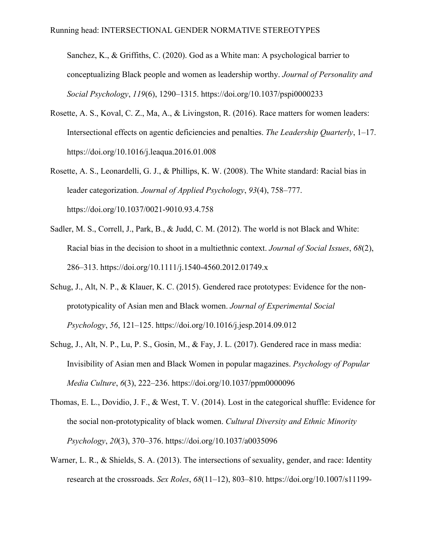Sanchez, K., & Griffiths, C. (2020). God as a White man: A psychological barrier to conceptualizing Black people and women as leadership worthy. *Journal of Personality and Social Psychology*, *119*(6), 1290–1315. https://doi.org/10.1037/pspi0000233

- Rosette, A. S., Koval, C. Z., Ma, A., & Livingston, R. (2016). Race matters for women leaders: Intersectional effects on agentic deficiencies and penalties. *The Leadership Quarterly*, 1–17. https://doi.org/10.1016/j.leaqua.2016.01.008
- Rosette, A. S., Leonardelli, G. J., & Phillips, K. W. (2008). The White standard: Racial bias in leader categorization. *Journal of Applied Psychology*, *93*(4), 758–777. https://doi.org/10.1037/0021-9010.93.4.758
- Sadler, M. S., Correll, J., Park, B., & Judd, C. M. (2012). The world is not Black and White: Racial bias in the decision to shoot in a multiethnic context. *Journal of Social Issues*, *68*(2), 286–313. https://doi.org/10.1111/j.1540-4560.2012.01749.x
- Schug, J., Alt, N. P., & Klauer, K. C. (2015). Gendered race prototypes: Evidence for the nonprototypicality of Asian men and Black women. *Journal of Experimental Social Psychology*, *56*, 121–125. https://doi.org/10.1016/j.jesp.2014.09.012
- Schug, J., Alt, N. P., Lu, P. S., Gosin, M., & Fay, J. L. (2017). Gendered race in mass media: Invisibility of Asian men and Black Women in popular magazines. *Psychology of Popular Media Culture*, *6*(3), 222–236. https://doi.org/10.1037/ppm0000096
- Thomas, E. L., Dovidio, J. F., & West, T. V. (2014). Lost in the categorical shuffle: Evidence for the social non-prototypicality of black women. *Cultural Diversity and Ethnic Minority Psychology*, *20*(3), 370–376. https://doi.org/10.1037/a0035096
- Warner, L. R., & Shields, S. A. (2013). The intersections of sexuality, gender, and race: Identity research at the crossroads. *Sex Roles*, *68*(11–12), 803–810. https://doi.org/10.1007/s11199-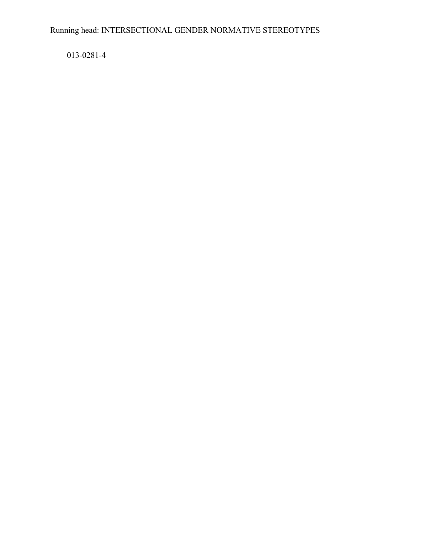013-0281-4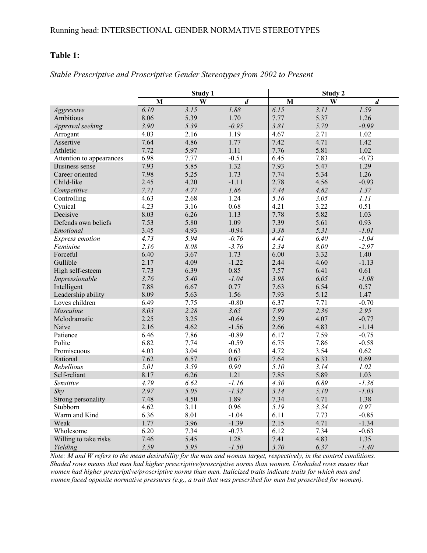# **Table 1:**

|                          | Study 1 |      | Study 2          |      |      |                  |
|--------------------------|---------|------|------------------|------|------|------------------|
|                          | M       | W    | $\boldsymbol{d}$ | M    | W    | $\boldsymbol{d}$ |
| Aggressive               | 6.10    | 3.15 | 1.88             | 6.15 | 3.11 | 1.59             |
| Ambitious                | 8.06    | 5.39 | 1.70             | 7.77 | 5.37 | 1.26             |
| Approval seeking         | 3.90    | 5.39 | $-0.95$          | 3.81 | 5.70 | $-0.99$          |
| Arrogant                 | 4.03    | 2.16 | 1.19             | 4.67 | 2.71 | 1.02             |
| Assertive                | 7.64    | 4.86 | 1.77             | 7.42 | 4.71 | 1.42             |
| Athletic                 | 7.72    | 5.97 | 1.11             | 7.76 | 5.81 | 1.02             |
| Attention to appearances | 6.98    | 7.77 | $-0.51$          | 6.45 | 7.83 | $-0.73$          |
| Business sense           | 7.93    | 5.85 | 1.32             | 7.93 | 5.47 | 1.29             |
| Career oriented          | 7.98    | 5.25 | 1.73             | 7.74 | 5.34 | 1.26             |
| Child-like               | 2.45    | 4.20 | $-1.11$          | 2.78 | 4.56 | $-0.93$          |
| Competitive              | 7.71    | 4.77 | 1.86             | 7.44 | 4.82 | 1.37             |
| Controlling              | 4.63    | 2.68 | 1.24             | 5.16 | 3.05 | 1.11             |
| Cynical                  | 4.23    | 3.16 | 0.68             | 4.21 | 3.22 | 0.51             |
| Decisive                 | 8.03    | 6.26 | 1.13             | 7.78 | 5.82 | 1.03             |
| Defends own beliefs      | 7.53    | 5.80 | 1.09             | 7.39 | 5.61 | 0.93             |
| Emotional                | 3.45    | 4.93 | $-0.94$          | 3.38 | 5.31 | $-1.01$          |
| <b>Express</b> emotion   | 4.73    | 5.94 | $-0.76$          | 4.41 | 6.40 | $-1.04$          |
| Feminine                 | 2.16    | 8.08 | $-3.76$          | 2.34 | 8.00 | $-2.97$          |
| Forceful                 | 6.40    | 3.67 | 1.73             | 6.00 | 3.32 | 1.40             |
| Gullible                 | 2.17    | 4.09 | $-1.22$          | 2.44 | 4.60 | $-1.13$          |
| High self-esteem         | 7.73    | 6.39 | 0.85             | 7.57 | 6.41 | 0.61             |
| Impressionable           | 3.76    | 5.40 | $-1.04$          | 3.98 | 6.05 | $-1.08$          |
| Intelligent              | 7.88    | 6.67 | 0.77             | 7.63 | 6.54 | 0.57             |
| Leadership ability       | 8.09    | 5.63 | 1.56             | 7.93 | 5.12 | 1.47             |
| Loves children           | 6.49    | 7.75 | $-0.80$          | 6.37 | 7.71 | $-0.70$          |
| Masculine                | 8.03    | 2.28 | 3.65             | 7.99 | 2.36 | 2.95             |
| Melodramatic             | 2.25    | 3.25 | $-0.64$          | 2.59 | 4.07 | $-0.77$          |
| Naive                    | 2.16    | 4.62 | $-1.56$          | 2.66 | 4.83 | $-1.14$          |
| Patience                 | 6.46    | 7.86 | $-0.89$          | 6.17 | 7.59 | $-0.75$          |
| Polite                   | 6.82    | 7.74 | $-0.59$          | 6.75 | 7.86 | $-0.58$          |
| Promiscuous              | 4.03    | 3.04 | 0.63             | 4.72 | 3.54 | 0.62             |
| Rational                 | 7.62    | 6.57 | 0.67             | 7.64 | 6.33 | 0.69             |
| Rebellious               | 5.01    | 3.59 | 0.90             | 5.10 | 3.14 | 1.02             |
| Self-reliant             | 8.17    | 6.26 | 1.21             | 7.85 | 5.89 | 1.03             |
| Sensitive                | 4.79    | 6.62 | $-1.16$          | 4.30 | 6.89 | $-1.36$          |
| Shv                      | 2.97    | 5.05 | $-1.32$          | 3.14 | 5.10 | $-1.03$          |
| Strong personality       | 7.48    | 4.50 | 1.89             | 7.34 | 4.71 | 1.38             |
| Stubborn                 | 4.62    | 3.11 | 0.96             | 5.19 | 3.34 | 0.97             |
| Warm and Kind            | 6.36    | 8.01 | $-1.04$          | 6.11 | 7.73 | $-0.85$          |
| Weak                     | 1.77    | 3.96 | $-1.39$          | 2.15 | 4.71 | $-1.34$          |
| Wholesome                | 6.20    | 7.34 | $-0.73$          | 6.12 | 7.34 | $-0.63$          |
| Willing to take risks    | 7.46    | 5.45 | 1.28             | 7.41 | 4.83 | 1.35             |
| Yielding                 | 3.59    | 5.95 | $-1.50$          | 3.70 | 6.37 | $-1.40$          |

*Stable Prescriptive and Proscriptive Gender Stereotypes from 2002 to Present* 

*Note: M and W refers to the mean desirability for the man and woman target, respectively, in the control conditions. Shaded rows means that men had higher prescriptive/proscriptive norms than women. Unshaded rows means that women had higher prescriptive/proscriptive norms than men. Italicized traits indicate traits for which men and women faced opposite normative pressures (e.g., a trait that was prescribed for men but proscribed for women).*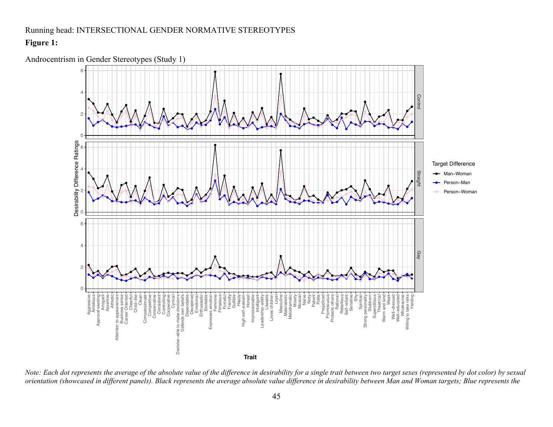# **Figure 1:**



Androcentrism in Gender Stereotypes (Study 1)

*Note: Each dot represents the average of the absolute value of the difference in desirability for a single trait between two target sexes (represented by dot color) by sexual orientation (showcased in different panels). B*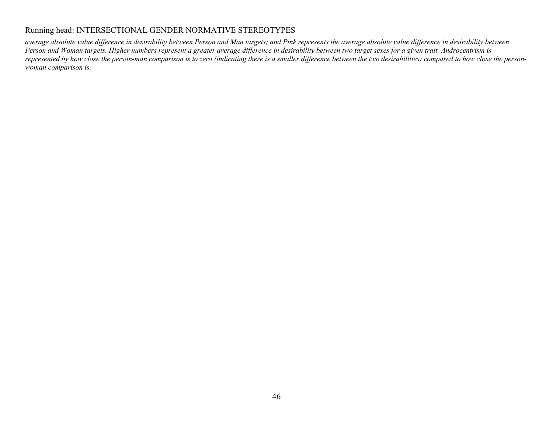*average absolute value difference in desirability between Person and Man targets; and Pink represents the average absolute value difference in desirability between Person and Woman targets. Higher numbers represent a greater average difference in desirability between two target sexes for a given trait. Androcentrism is represented by how close the person-man comparison is to zero (indicating there is a smaller difference between the two desirabilities) compared to how close the personwoman comparison is.*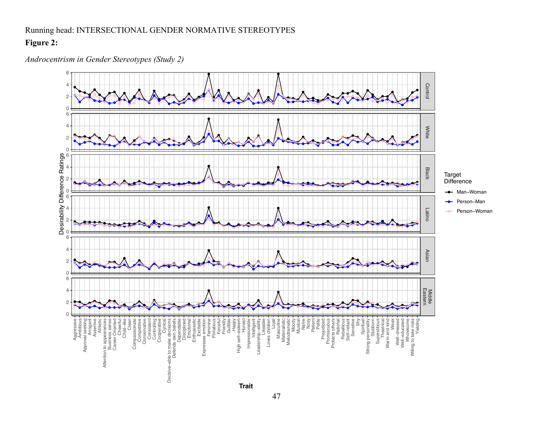*Androcentrism in Gender Stereotypes (Study 2)*

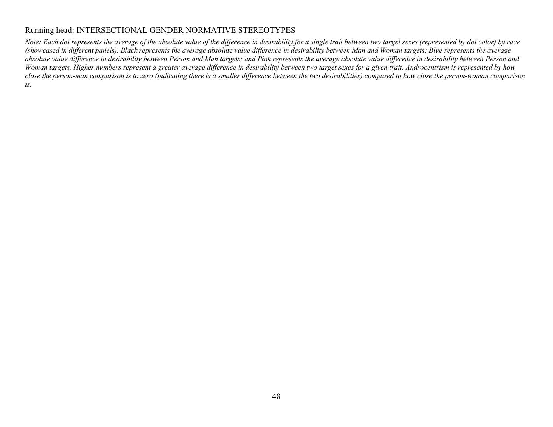*Note: Each dot represents the average of the absolute value of the difference in desirability for a single trait between two target sexes (represented by dot color) by race (showcased in different panels). Black represents the average absolute value difference in desirability between Man and Woman targets; Blue represents the average absolute value difference in desirability between Person and Man targets; and Pink represents the average absolute value difference in desirability between Person and Woman targets. Higher numbers represent a greater average difference in desirability between two target sexes for a given trait. Androcentrism is represented by how close the person-man comparison is to zero (indicating there is a smaller difference between the two desirabilities) compared to how close the person-woman comparison is.*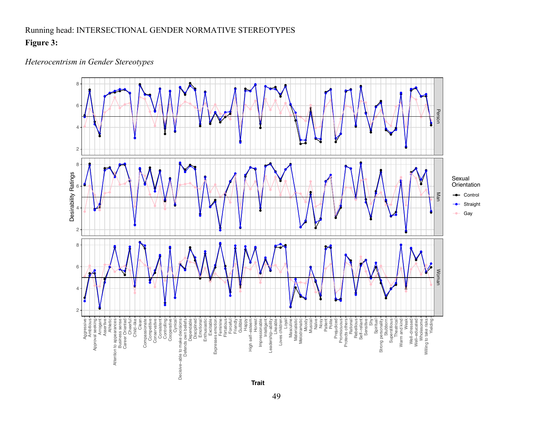*Heterocentrism in Gender Stereotypes*

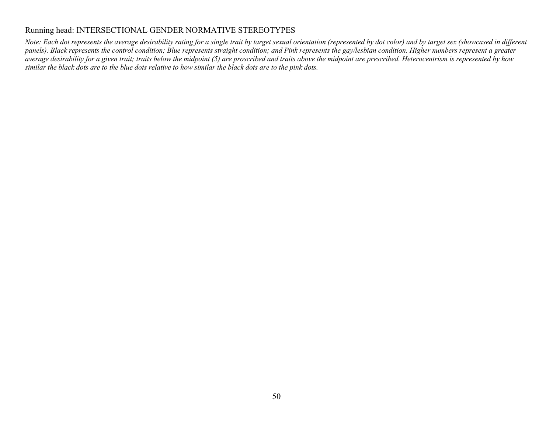*Note: Each dot represents the average desirability rating for a single trait by target sexual orientation (represented by dot color) and by target sex (showcased in different*  panels). Black represents the control condition; Blue represents straight condition; and Pink represents the gay/lesbian condition. Higher numbers represent a greater *average desirability for a given trait; traits below the midpoint (5) are proscribed and traits above the midpoint are prescribed. Heterocentrism is represented by how similar the black dots are to the blue dots relative to how similar the black dots are to the pink dots.*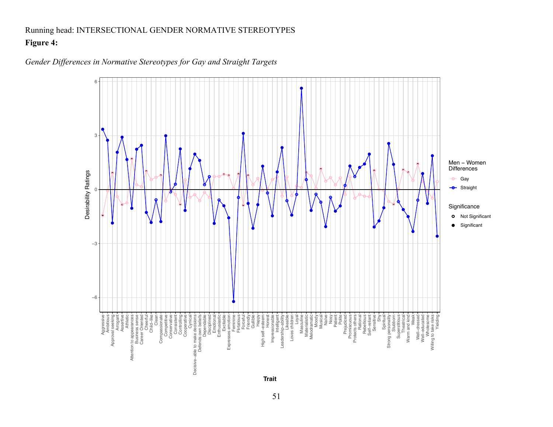

*Gender Differences in Normative Stereotypes for Gay and Straight Targets*